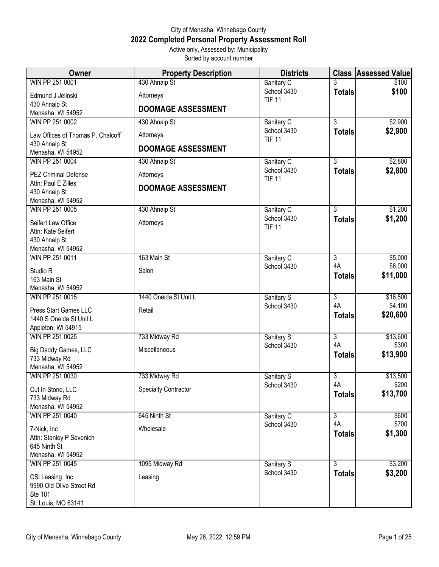## City of Menasha, Winnebago County **2022 Completed Personal Property Assessment Roll** Active only, Assessed by: Municipality

Sorted by account number

| <b>Owner</b>                          | <b>Property Description</b> | <b>Districts</b>             |                                 | <b>Class Assessed Value</b> |
|---------------------------------------|-----------------------------|------------------------------|---------------------------------|-----------------------------|
| WIN PP 251 0001                       | 430 Ahnaip St               | Sanitary C                   |                                 | \$100                       |
| Edmund J Jelinski                     | Attorneys                   | School 3430<br><b>TIF 11</b> | <b>Totals</b>                   | \$100                       |
| 430 Ahnaip St<br>Menasha, WI 54952    | <b>DOOMAGE ASSESSMENT</b>   |                              |                                 |                             |
| WIN PP 251 0002                       | 430 Ahnaip St               | Sanitary C                   | $\overline{3}$                  | \$2,900                     |
| Law Offices of Thomas P. Chalcoff     | Attorneys                   | School 3430<br><b>TIF 11</b> | <b>Totals</b>                   | \$2,900                     |
| 430 Ahnaip St<br>Menasha, WI 54952    | <b>DOOMAGE ASSESSMENT</b>   |                              |                                 |                             |
| WIN PP 251 0004                       | 430 Ahnaip St               | Sanitary C                   | $\overline{3}$                  | \$2,800                     |
| <b>PEZ Criminal Defense</b>           | Attorneys                   | School 3430<br><b>TIF 11</b> | <b>Totals</b>                   | \$2,800                     |
| Attn: Paul E Zilles<br>430 Ahnaip St  | <b>DOOMAGE ASSESSMENT</b>   |                              |                                 |                             |
| Menasha, WI 54952                     |                             |                              |                                 |                             |
| WIN PP 251 0005                       | 430 Ahnaip St               | Sanitary C                   | $\overline{3}$                  | \$1,200                     |
| Seifert Law Office                    | Attorneys                   | School 3430<br><b>TIF 11</b> | <b>Totals</b>                   | \$1,200                     |
| Attn: Kate Seifert                    |                             |                              |                                 |                             |
| 430 Ahnaip St<br>Menasha, WI 54952    |                             |                              |                                 |                             |
| WIN PP 251 0011                       | 163 Main St                 | Sanitary C                   | $\overline{3}$                  | \$5,000                     |
| Studio R                              | Salon                       | School 3430                  | 4A                              | \$6,000                     |
| 163 Main St                           |                             |                              | <b>Totals</b>                   | \$11,000                    |
| Menasha, WI 54952                     |                             |                              |                                 |                             |
| WIN PP 251 0015                       | 1440 Oneida St Unit L       | Sanitary S                   | $\overline{3}$                  | \$16,500                    |
| Press Start Games LLC                 | Retail                      | School 3430                  | 4A<br><b>Totals</b>             | \$4,100<br>\$20,600         |
| 1440 S Oneida St Unit L               |                             |                              |                                 |                             |
| Appleton, WI 54915<br>WIN PP 251 0025 | 733 Midway Rd               | Sanitary S                   | $\overline{3}$                  | \$13,600                    |
| Big Daddy Games, LLC                  | Miscellaneous               | School 3430                  | 4A                              | \$300                       |
| 733 Midway Rd                         |                             |                              | <b>Totals</b>                   | \$13,900                    |
| Menasha, WI 54952                     |                             |                              |                                 |                             |
| WIN PP 251 0030                       | 733 Midway Rd               | Sanitary S                   | $\overline{3}$                  | \$13,500                    |
| Cut In Stone, LLC                     | <b>Specialty Contractor</b> | School 3430                  | 4A<br><b>Totals</b>             | \$200<br>\$13,700           |
| 733 Midway Rd<br>Menasha, WI 54952    |                             |                              |                                 |                             |
| WIN PP 251 0040                       | 645 Ninth St                | Sanitary C                   | $\overline{3}$                  | \$600                       |
| 7-Nick, Inc                           | Wholesale                   | School 3430                  | 4A                              | \$700                       |
| Attn: Stanley P Sevenich              |                             |                              | <b>Totals</b>                   | \$1,300                     |
| 645 Ninth St                          |                             |                              |                                 |                             |
| Menasha, WI 54952                     |                             |                              |                                 |                             |
| WIN PP 251 0045                       | 1095 Midway Rd              | Sanitary S<br>School 3430    | $\overline{3}$<br><b>Totals</b> | \$3,200<br>\$3,200          |
| CSI Leasing, Inc                      | Leasing                     |                              |                                 |                             |
| 9990 Old Olive Street Rd<br>Ste 101   |                             |                              |                                 |                             |
| St. Louis, MO 63141                   |                             |                              |                                 |                             |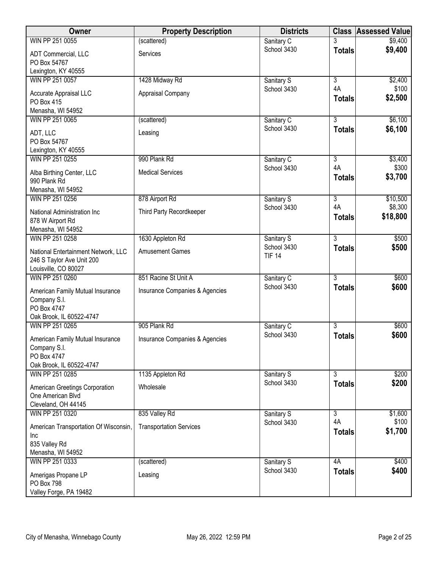| Owner                                                                                       | <b>Property Description</b>         | <b>Districts</b>             |                                       | <b>Class Assessed Value</b> |
|---------------------------------------------------------------------------------------------|-------------------------------------|------------------------------|---------------------------------------|-----------------------------|
| WIN PP 251 0055                                                                             | (scattered)                         | Sanitary C                   | 3                                     | \$9,400                     |
| ADT Commercial, LLC<br>PO Box 54767                                                         | Services                            | School 3430                  | <b>Totals</b>                         | \$9,400                     |
| Lexington, KY 40555                                                                         |                                     |                              |                                       |                             |
| WIN PP 251 0057<br>Accurate Appraisal LLC<br>PO Box 415<br>Menasha, WI 54952                | 1428 Midway Rd<br>Appraisal Company | Sanitary S<br>School 3430    | $\overline{3}$<br>4A<br><b>Totals</b> | \$2,400<br>\$100<br>\$2,500 |
| WIN PP 251 0065                                                                             | (scattered)                         | Sanitary C                   | 3                                     | \$6,100                     |
| ADT, LLC<br>PO Box 54767<br>Lexington, KY 40555                                             | Leasing                             | School 3430                  | <b>Totals</b>                         | \$6,100                     |
| WIN PP 251 0255                                                                             | 990 Plank Rd                        | Sanitary C                   | $\overline{3}$                        | \$3,400                     |
| Alba Birthing Center, LLC<br>990 Plank Rd<br>Menasha, WI 54952                              | <b>Medical Services</b>             | School 3430                  | 4A<br><b>Totals</b>                   | \$300<br>\$3,700            |
| WIN PP 251 0256                                                                             | 878 Airport Rd                      | Sanitary S                   | $\overline{3}$                        | \$10,500                    |
| National Administration Inc<br>878 W Airport Rd<br>Menasha, WI 54952                        | Third Party Recordkeeper            | School 3430                  | 4A<br><b>Totals</b>                   | \$8,300<br>\$18,800         |
| WIN PP 251 0258                                                                             | 1630 Appleton Rd                    | Sanitary S                   | $\overline{3}$                        | \$500                       |
| National Entertainment Network, LLC<br>246 S Taylor Ave Unit 200                            | <b>Amusement Games</b>              | School 3430<br><b>TIF 14</b> | <b>Totals</b>                         | \$500                       |
| Louisville, CO 80027<br>WIN PP 251 0260                                                     | 851 Racine St Unit A                | Sanitary C                   | $\overline{3}$                        | \$600                       |
| American Family Mutual Insurance<br>Company S.I.<br>PO Box 4747<br>Oak Brook, IL 60522-4747 | Insurance Companies & Agencies      | School 3430                  | <b>Totals</b>                         | \$600                       |
| WIN PP 251 0265                                                                             | 905 Plank Rd                        | Sanitary C                   | 3                                     | \$600                       |
| American Family Mutual Insurance<br>Company S.I.<br>PO Box 4747<br>Oak Brook, IL 60522-4747 | Insurance Companies & Agencies      | School 3430                  | <b>Totals</b>                         | \$600                       |
| WIN PP 251 0285                                                                             | 1135 Appleton Rd                    | Sanitary S                   | 3                                     | \$200                       |
| American Greetings Corporation<br>One American Blvd<br>Cleveland, OH 44145                  | Wholesale                           | School 3430                  | <b>Totals</b>                         | \$200                       |
| WIN PP 251 0320                                                                             | 835 Valley Rd                       | Sanitary S                   | $\overline{3}$                        | \$1,600                     |
| American Transportation Of Wisconsin,<br>Inc<br>835 Valley Rd<br>Menasha, WI 54952          | <b>Transportation Services</b>      | School 3430                  | 4A<br><b>Totals</b>                   | \$100<br>\$1,700            |
| WIN PP 251 0333                                                                             | (scattered)                         | Sanitary S                   | 4A                                    | \$400                       |
| Amerigas Propane LP<br>PO Box 798<br>Valley Forge, PA 19482                                 | Leasing                             | School 3430                  | <b>Totals</b>                         | \$400                       |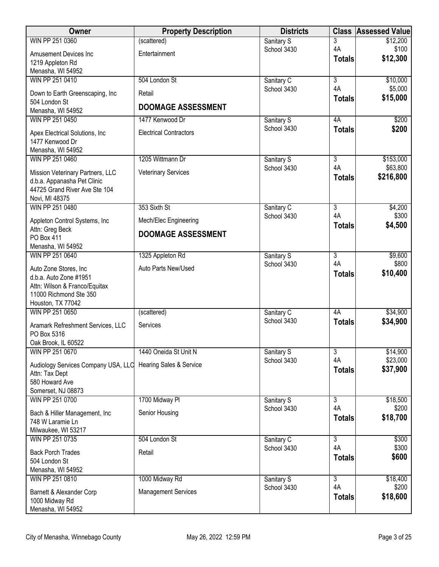| <b>Owner</b>                                                 | <b>Property Description</b>   | <b>Districts</b>          | <b>Class</b>         | <b>Assessed Value</b> |
|--------------------------------------------------------------|-------------------------------|---------------------------|----------------------|-----------------------|
| WIN PP 251 0360                                              | (scattered)                   | Sanitary S                | 3                    | \$12,200              |
| Amusement Devices Inc                                        | Entertainment                 | School 3430               | 4A                   | \$100<br>\$12,300     |
| 1219 Appleton Rd                                             |                               |                           | <b>Totals</b>        |                       |
| Menasha, WI 54952                                            |                               |                           |                      |                       |
| WIN PP 251 0410                                              | 504 London St                 | Sanitary C<br>School 3430 | $\overline{3}$<br>4A | \$10,000<br>\$5,000   |
| Down to Earth Greenscaping, Inc                              | Retail                        |                           | <b>Totals</b>        | \$15,000              |
| 504 London St                                                | <b>DOOMAGE ASSESSMENT</b>     |                           |                      |                       |
| Menasha, WI 54952<br>WIN PP 251 0450                         | 1477 Kenwood Dr               |                           | 4A                   | \$200                 |
|                                                              |                               | Sanitary S<br>School 3430 | <b>Totals</b>        | \$200                 |
| Apex Electrical Solutions, Inc.                              | <b>Electrical Contractors</b> |                           |                      |                       |
| 1477 Kenwood Dr                                              |                               |                           |                      |                       |
| Menasha, WI 54952<br>WIN PP 251 0460                         | 1205 Wittmann Dr              | Sanitary S                | $\overline{3}$       | \$153,000             |
|                                                              |                               | School 3430               | 4A                   | \$63,800              |
| Mission Veterinary Partners, LLC                             | <b>Veterinary Services</b>    |                           | <b>Totals</b>        | \$216,800             |
| d.b.a. Appanasha Pet Clinic<br>44725 Grand River Ave Ste 104 |                               |                           |                      |                       |
| Novi, MI 48375                                               |                               |                           |                      |                       |
| WIN PP 251 0480                                              | 353 Sixth St                  | Sanitary C                | $\overline{3}$       | \$4,200               |
| Appleton Control Systems, Inc                                | Mech/Elec Engineering         | School 3430               | 4A                   | \$300                 |
| Attn: Greg Beck                                              |                               |                           | <b>Totals</b>        | \$4,500               |
| PO Box 411                                                   | <b>DOOMAGE ASSESSMENT</b>     |                           |                      |                       |
| Menasha, WI 54952                                            |                               |                           |                      |                       |
| WIN PP 251 0640                                              | 1325 Appleton Rd              | Sanitary S                | $\overline{3}$       | \$9,600               |
| Auto Zone Stores, Inc.                                       | Auto Parts New/Used           | School 3430               | 4A                   | \$800                 |
| d.b.a. Auto Zone #1951                                       |                               |                           | <b>Totals</b>        | \$10,400              |
| Attn: Wilson & Franco/Equitax                                |                               |                           |                      |                       |
| 11000 Richmond Ste 350<br>Houston, TX 77042                  |                               |                           |                      |                       |
| WIN PP 251 0650                                              | (scattered)                   | Sanitary C                | 4A                   | \$34,900              |
|                                                              |                               | School 3430               | <b>Totals</b>        | \$34,900              |
| Aramark Refreshment Services, LLC<br>PO Box 5316             | Services                      |                           |                      |                       |
| Oak Brook, IL 60522                                          |                               |                           |                      |                       |
| WIN PP 251 0670                                              | 1440 Oneida St Unit N         | Sanitary S                | 3                    | \$14,900              |
| Audiology Services Company USA, LLC                          | Hearing Sales & Service       | School 3430               | 4A                   | \$23,000              |
| Attn: Tax Dept                                               |                               |                           | <b>Totals</b>        | \$37,900              |
| 580 Howard Ave                                               |                               |                           |                      |                       |
| Somerset, NJ 08873                                           |                               |                           |                      |                       |
| WIN PP 251 0700                                              | 1700 Midway Pl                | Sanitary S                | $\overline{3}$       | \$18,500              |
| Bach & Hiller Management, Inc.                               | Senior Housing                | School 3430               | 4A                   | \$200                 |
| 748 W Laramie Ln                                             |                               |                           | <b>Totals</b>        | \$18,700              |
| Milwaukee, WI 53217                                          |                               |                           |                      |                       |
| WIN PP 251 0735                                              | 504 London St                 | Sanitary C<br>School 3430 | $\overline{3}$<br>4A | \$300<br>\$300        |
| <b>Back Porch Trades</b>                                     | Retail                        |                           | <b>Totals</b>        | \$600                 |
| 504 London St                                                |                               |                           |                      |                       |
| Menasha, WI 54952                                            |                               |                           | $\overline{3}$       |                       |
| WIN PP 251 0810                                              | 1000 Midway Rd                | Sanitary S<br>School 3430 | 4A                   | \$18,400<br>\$200     |
| Barnett & Alexander Corp                                     | <b>Management Services</b>    |                           | <b>Totals</b>        | \$18,600              |
| 1000 Midway Rd                                               |                               |                           |                      |                       |
| Menasha, WI 54952                                            |                               |                           |                      |                       |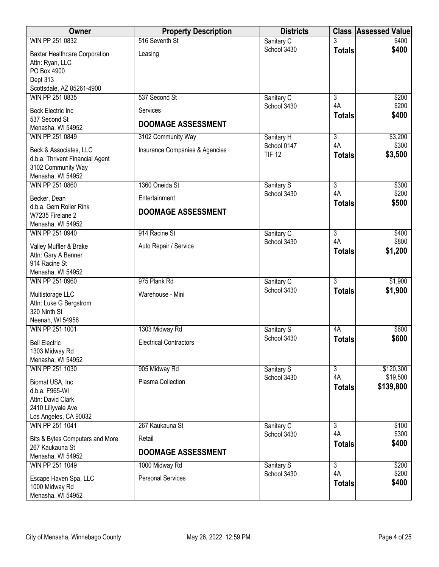| Owner                                                                                                           | <b>Property Description</b>           | <b>Districts</b>             | <b>Class</b>        | <b>Assessed Value</b> |
|-----------------------------------------------------------------------------------------------------------------|---------------------------------------|------------------------------|---------------------|-----------------------|
| WIN PP 251 0832                                                                                                 | 516 Seventh St                        | Sanitary C                   |                     | \$400                 |
| <b>Baxter Healthcare Corporation</b><br>Attn: Ryan, LLC<br>PO Box 4900<br>Dept 313<br>Scottsdale, AZ 85261-4900 | Leasing                               | School 3430                  | <b>Totals</b>       | \$400                 |
| WIN PP 251 0835                                                                                                 | 537 Second St                         | Sanitary C                   | $\overline{3}$      | \$200                 |
| <b>Beck Electric Inc</b><br>537 Second St<br>Menasha, WI 54952                                                  | Services<br><b>DOOMAGE ASSESSMENT</b> | School 3430                  | 4A<br><b>Totals</b> | \$200<br>\$400        |
| WIN PP 251 0849                                                                                                 | 3102 Community Way                    | Sanitary H                   | $\overline{3}$      | \$3,200               |
| Beck & Associates, LLC<br>d.b.a. Thrivent Financial Agent<br>3102 Community Way<br>Menasha, WI 54952            | Insurance Companies & Agencies        | School 0147<br><b>TIF 12</b> | 4A<br><b>Totals</b> | \$300<br>\$3,500      |
| WIN PP 251 0860                                                                                                 | 1360 Oneida St                        | Sanitary S                   | $\overline{3}$      | \$300                 |
| Becker, Dean                                                                                                    | Entertainment                         | School 3430                  | 4A<br><b>Totals</b> | \$200<br>\$500        |
| d.b.a. Gem Roller Rink<br>W7235 Firelane 2<br>Menasha, WI 54952                                                 | <b>DOOMAGE ASSESSMENT</b>             |                              |                     |                       |
| WIN PP 251 0940                                                                                                 | 914 Racine St                         | Sanitary C                   | $\overline{3}$      | \$400                 |
| Valley Muffler & Brake<br>Attn: Gary A Benner<br>914 Racine St                                                  | Auto Repair / Service                 | School 3430                  | 4A<br><b>Totals</b> | \$800<br>\$1,200      |
| Menasha, WI 54952<br>WIN PP 251 0960                                                                            | 975 Plank Rd                          | Sanitary C                   | $\overline{3}$      | \$1,900               |
| Multistorage LLC<br>Attn: Luke G Bergstrom<br>320 Ninth St<br>Neenah, WI 54956                                  | Warehouse - Mini                      | School 3430                  | <b>Totals</b>       | \$1,900               |
| WIN PP 251 1001                                                                                                 | 1303 Midway Rd                        | Sanitary S                   | 4A                  | \$600                 |
| <b>Bell Electric</b><br>1303 Midway Rd<br>Menasha, WI 54952                                                     | <b>Electrical Contractors</b>         | School 3430                  | <b>Totals</b>       | \$600                 |
| WIN PP 251 1030                                                                                                 | 905 Midway Rd                         | Sanitary S                   | $\overline{3}$      | \$120,300             |
| Biomat USA, Inc<br>d.b.a. F965-WI<br>Attn: David Clark<br>2410 Lillyvale Ave<br>Los Angeles, CA 90032           | Plasma Collection                     | School 3430                  | 4A<br><b>Totals</b> | \$19,500<br>\$139,800 |
| WIN PP 251 1041                                                                                                 | 267 Kaukauna St                       | Sanitary C                   | $\overline{3}$      | \$100                 |
| Bits & Bytes Computers and More<br>267 Kaukauna St<br>Menasha, WI 54952                                         | Retail<br><b>DOOMAGE ASSESSMENT</b>   | School 3430                  | 4A<br><b>Totals</b> | \$300<br>\$400        |
| WIN PP 251 1049                                                                                                 | 1000 Midway Rd                        | Sanitary S                   | $\overline{3}$      | \$200                 |
| Escape Haven Spa, LLC<br>1000 Midway Rd<br>Menasha, WI 54952                                                    | <b>Personal Services</b>              | School 3430                  | 4A<br><b>Totals</b> | \$200<br>\$400        |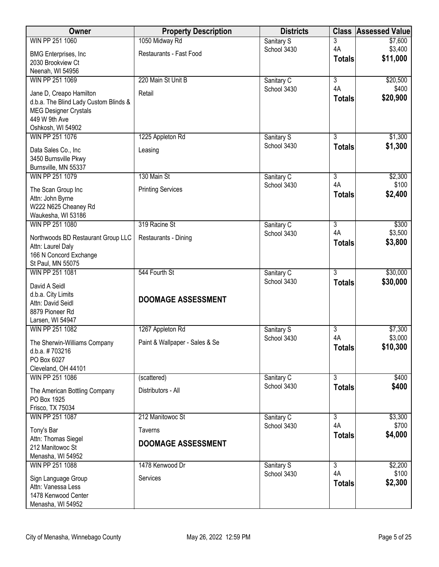| <b>Owner</b>                           | <b>Property Description</b>    | <b>Districts</b>          | <b>Class</b>         | <b>Assessed Value</b> |
|----------------------------------------|--------------------------------|---------------------------|----------------------|-----------------------|
| WIN PP 251 1060                        | 1050 Midway Rd                 | Sanitary S                | 3                    | \$7,600               |
| <b>BMG Enterprises, Inc.</b>           | Restaurants - Fast Food        | School 3430               | 4A                   | \$3,400               |
| 2030 Brookview Ct                      |                                |                           | <b>Totals</b>        | \$11,000              |
| Neenah, WI 54956                       |                                |                           |                      |                       |
| WIN PP 251 1069                        | 220 Main St Unit B             | Sanitary C                | $\overline{3}$       | \$20,500              |
| Jane D, Creapo Hamilton                | Retail                         | School 3430               | 4A                   | \$400                 |
| d.b.a. The Blind Lady Custom Blinds &  |                                |                           | <b>Totals</b>        | \$20,900              |
| <b>MEG Designer Crystals</b>           |                                |                           |                      |                       |
| 449 W 9th Ave                          |                                |                           |                      |                       |
| Oshkosh, WI 54902                      |                                |                           |                      |                       |
| WIN PP 251 1076                        | 1225 Appleton Rd               | Sanitary S                | 3                    | \$1,300               |
| Data Sales Co., Inc                    | Leasing                        | School 3430               | <b>Totals</b>        | \$1,300               |
| 3450 Burnsville Pkwy                   |                                |                           |                      |                       |
| Burnsville, MN 55337                   |                                |                           |                      |                       |
| WIN PP 251 1079                        | 130 Main St                    | Sanitary C                | $\overline{3}$       | \$2,300               |
| The Scan Group Inc                     | <b>Printing Services</b>       | School 3430               | 4A                   | \$100                 |
| Attn: John Byrne                       |                                |                           | <b>Totals</b>        | \$2,400               |
| W222 N625 Cheaney Rd                   |                                |                           |                      |                       |
| Waukesha, WI 53186                     |                                |                           |                      |                       |
| WIN PP 251 1080                        | 319 Racine St                  | Sanitary C                | $\overline{3}$       | \$300                 |
| Northwoods BD Restaurant Group LLC     | Restaurants - Dining           | School 3430               | 4A                   | \$3,500               |
| Attn: Laurel Daly                      |                                |                           | <b>Totals</b>        | \$3,800               |
| 166 N Concord Exchange                 |                                |                           |                      |                       |
| St Paul, MN 55075                      |                                |                           |                      |                       |
| WIN PP 251 1081                        | 544 Fourth St                  | Sanitary C                | $\overline{3}$       | \$30,000              |
| David A Seidl                          |                                | School 3430               | <b>Totals</b>        | \$30,000              |
| d.b.a. City Limits                     |                                |                           |                      |                       |
| Attn: David Seidl                      | <b>DOOMAGE ASSESSMENT</b>      |                           |                      |                       |
| 8879 Pioneer Rd                        |                                |                           |                      |                       |
| Larsen, WI 54947                       |                                |                           |                      |                       |
| WIN PP 251 1082                        | 1267 Appleton Rd               | Sanitary S<br>School 3430 | $\overline{3}$<br>4A | \$7,300<br>\$3,000    |
| The Sherwin-Williams Company           | Paint & Wallpaper - Sales & Se |                           | <b>Totals</b>        | \$10,300              |
| d.b.a. #703216                         |                                |                           |                      |                       |
| PO Box 6027                            |                                |                           |                      |                       |
| Cleveland, OH 44101<br>WIN PP 251 1086 |                                |                           | $\overline{3}$       |                       |
|                                        | (scattered)                    | Sanitary C<br>School 3430 |                      | \$400<br>\$400        |
| The American Bottling Company          | Distributors - All             |                           | <b>Totals</b>        |                       |
| PO Box 1925                            |                                |                           |                      |                       |
| Frisco, TX 75034                       |                                |                           |                      |                       |
| WIN PP 251 1087                        | 212 Manitowoc St               | Sanitary C<br>School 3430 | $\overline{3}$<br>4A | \$3,300<br>\$700      |
| Tony's Bar                             | <b>Taverns</b>                 |                           | <b>Totals</b>        | \$4,000               |
| Attn: Thomas Siegel                    | <b>DOOMAGE ASSESSMENT</b>      |                           |                      |                       |
| 212 Manitowoc St                       |                                |                           |                      |                       |
| Menasha, WI 54952                      |                                |                           |                      |                       |
| WIN PP 251 1088                        | 1478 Kenwood Dr                | Sanitary S<br>School 3430 | $\overline{3}$<br>4A | \$2,200<br>\$100      |
| Sign Language Group                    | Services                       |                           | <b>Totals</b>        | \$2,300               |
| Attn: Vanessa Less                     |                                |                           |                      |                       |
| 1478 Kenwood Center                    |                                |                           |                      |                       |
| Menasha, WI 54952                      |                                |                           |                      |                       |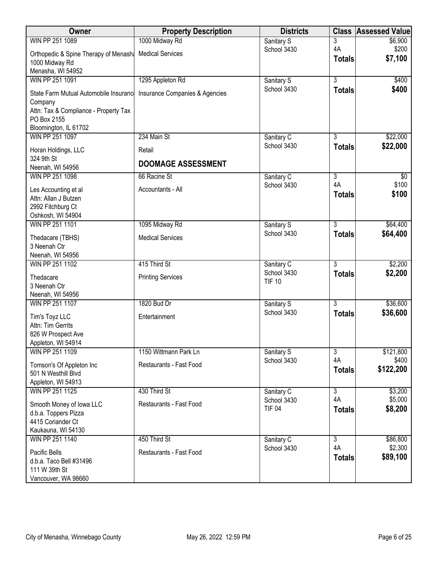| Owner                                                                                       | <b>Property Description</b>    | <b>Districts</b>          |                     | <b>Class Assessed Value</b> |
|---------------------------------------------------------------------------------------------|--------------------------------|---------------------------|---------------------|-----------------------------|
| WIN PP 251 1089                                                                             | 1000 Midway Rd                 | Sanitary S                | $\overline{3}$      | \$6,900                     |
| Orthopedic & Spine Therapy of Menash Medical Services<br>1000 Midway Rd                     |                                | School 3430               | 4A<br><b>Totals</b> | \$200<br>\$7,100            |
| Menasha, WI 54952                                                                           |                                |                           |                     |                             |
| WIN PP 251 1091                                                                             | 1295 Appleton Rd               | Sanitary S                | $\overline{3}$      | \$400                       |
| State Farm Mutual Automobile Insurance<br>Company<br>Attn: Tax & Compliance - Property Tax  | Insurance Companies & Agencies | School 3430               | <b>Totals</b>       | \$400                       |
| PO Box 2155                                                                                 |                                |                           |                     |                             |
| Bloomington, IL 61702                                                                       |                                |                           |                     |                             |
| WIN PP 251 1097                                                                             | 234 Main St                    | Sanitary C                | 3                   | \$22,000                    |
| Horan Holdings, LLC<br>324 9th St                                                           | Retail                         | School 3430               | <b>Totals</b>       | \$22,000                    |
| Neenah, WI 54956                                                                            | <b>DOOMAGE ASSESSMENT</b>      |                           |                     |                             |
| WIN PP 251 1098                                                                             | 66 Racine St                   | Sanitary C                | $\overline{3}$      | \$0                         |
| Les Accounting et al<br>Attn: Allan J Butzen                                                | Accountants - All              | School 3430               | 4A<br><b>Totals</b> | \$100<br>\$100              |
| 2992 Fitchburg Ct<br>Oshkosh, WI 54904                                                      |                                |                           |                     |                             |
| WIN PP 251 1101                                                                             | 1095 Midway Rd                 | Sanitary S                | $\overline{3}$      | \$64,400                    |
|                                                                                             | <b>Medical Services</b>        | School 3430               | <b>Totals</b>       | \$64,400                    |
| Thedacare (TBHS)<br>3 Neenah Ctr                                                            |                                |                           |                     |                             |
| Neenah, WI 54956                                                                            |                                |                           |                     |                             |
| WIN PP 251 1102                                                                             | 415 Third St                   | Sanitary C                | $\overline{3}$      | \$2,200                     |
| Thedacare                                                                                   | <b>Printing Services</b>       | School 3430               | <b>Totals</b>       | \$2,200                     |
| 3 Neenah Ctr                                                                                |                                | <b>TIF 10</b>             |                     |                             |
| Neenah, WI 54956<br>WIN PP 251 1107                                                         | 1820 Bud Dr                    |                           | $\overline{3}$      | \$36,600                    |
|                                                                                             |                                | Sanitary S<br>School 3430 | <b>Totals</b>       | \$36,600                    |
| Tim's Toyz LLC<br>Attn: Tim Gerrits                                                         | Entertainment                  |                           |                     |                             |
| 826 W Prospect Ave                                                                          |                                |                           |                     |                             |
| Appleton, WI 54914<br>WIN PP 251 1109                                                       | 1150 Wittmann Park Ln          | Sanitary S                | $\overline{3}$      | \$121,800                   |
|                                                                                             |                                | School 3430               | 4A                  | \$400                       |
| Tomson's Of Appleton Inc<br>501 N Westhill Blvd                                             | Restaurants - Fast Food        |                           | <b>Totals</b>       | \$122,200                   |
| Appleton, WI 54913<br>WIN PP 251 1125                                                       | 430 Third St                   | Sanitary C                | $\overline{3}$      | \$3,200                     |
|                                                                                             |                                | School 3430               | 4A                  | \$5,000                     |
| Smooth Money of Iowa LLC<br>d.b.a. Toppers Pizza<br>4415 Coriander Ct<br>Kaukauna, WI 54130 | Restaurants - Fast Food        | <b>TIF 04</b>             | <b>Totals</b>       | \$8,200                     |
| WIN PP 251 1140                                                                             | 450 Third St                   | Sanitary C                | $\overline{3}$      | \$86,800                    |
| Pacific Bells<br>d.b.a. Taco Bell #31496<br>111 W 39th St<br>Vancouver, WA 98660            | Restaurants - Fast Food        | School 3430               | 4A<br><b>Totals</b> | \$2,300<br>\$89,100         |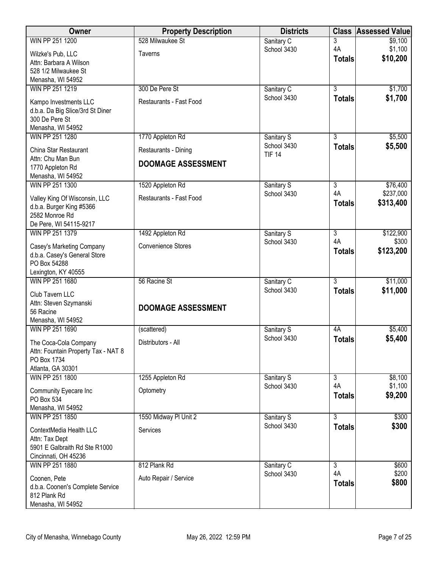| Owner                                                     | <b>Property Description</b> | <b>Districts</b>          | <b>Class</b>                    | <b>Assessed Value</b> |
|-----------------------------------------------------------|-----------------------------|---------------------------|---------------------------------|-----------------------|
| WIN PP 251 1200                                           | 528 Milwaukee St            | Sanitary C                | 3                               | \$9,100               |
| Wilzke's Pub, LLC                                         | <b>Taverns</b>              | School 3430               | 4A                              | \$1,100               |
| Attn: Barbara A Wilson                                    |                             |                           | <b>Totals</b>                   | \$10,200              |
| 528 1/2 Milwaukee St                                      |                             |                           |                                 |                       |
| Menasha, WI 54952                                         |                             |                           | $\overline{3}$                  |                       |
| WIN PP 251 1219                                           | 300 De Pere St              | Sanitary C<br>School 3430 |                                 | \$1,700<br>\$1,700    |
| Kampo Investments LLC                                     | Restaurants - Fast Food     |                           | <b>Totals</b>                   |                       |
| d.b.a. Da Big Slice/3rd St Diner                          |                             |                           |                                 |                       |
| 300 De Pere St<br>Menasha, WI 54952                       |                             |                           |                                 |                       |
| WIN PP 251 1280                                           | 1770 Appleton Rd            | Sanitary S                | $\overline{3}$                  | \$5,500               |
| China Star Restaurant                                     | Restaurants - Dining        | School 3430               | <b>Totals</b>                   | \$5,500               |
| Attn: Chu Man Bun                                         | <b>DOOMAGE ASSESSMENT</b>   | <b>TIF 14</b>             |                                 |                       |
| 1770 Appleton Rd                                          |                             |                           |                                 |                       |
| Menasha, WI 54952<br>WIN PP 251 1300                      | 1520 Appleton Rd            |                           | $\overline{3}$                  | \$76,400              |
|                                                           |                             | Sanitary S<br>School 3430 | 4A                              | \$237,000             |
| Valley King Of Wisconsin, LLC<br>d.b.a. Burger King #5366 | Restaurants - Fast Food     |                           | <b>Totals</b>                   | \$313,400             |
| 2582 Monroe Rd                                            |                             |                           |                                 |                       |
| De Pere, WI 54115-9217                                    |                             |                           |                                 |                       |
| WIN PP 251 1379                                           | 1492 Appleton Rd            | Sanitary S                | $\overline{3}$                  | \$122,900             |
| Casey's Marketing Company                                 | <b>Convenience Stores</b>   | School 3430               | 4A                              | \$300                 |
| d.b.a. Casey's General Store                              |                             |                           | <b>Totals</b>                   | \$123,200             |
| PO Box 54288                                              |                             |                           |                                 |                       |
| Lexington, KY 40555                                       |                             |                           |                                 |                       |
| WIN PP 251 1680                                           | 56 Racine St                | Sanitary C<br>School 3430 | $\overline{3}$<br><b>Totals</b> | \$11,000<br>\$11,000  |
| Club Tavern LLC                                           |                             |                           |                                 |                       |
| Attn: Steven Szymanski<br>56 Racine                       | <b>DOOMAGE ASSESSMENT</b>   |                           |                                 |                       |
| Menasha, WI 54952                                         |                             |                           |                                 |                       |
| WIN PP 251 1690                                           | (scattered)                 | Sanitary S                | 4A                              | \$5,400               |
| The Coca-Cola Company                                     | Distributors - All          | School 3430               | <b>Totals</b>                   | \$5,400               |
| Attn: Fountain Property Tax - NAT 8                       |                             |                           |                                 |                       |
| PO Box 1734                                               |                             |                           |                                 |                       |
| Atlanta, GA 30301                                         |                             |                           |                                 |                       |
| WIN PP 251 1800                                           | 1255 Appleton Rd            | Sanitary S<br>School 3430 | $\overline{3}$<br>4A            | \$8,100<br>\$1,100    |
| Community Eyecare Inc                                     | Optometry                   |                           | <b>Totals</b>                   | \$9,200               |
| PO Box 534<br>Menasha, WI 54952                           |                             |                           |                                 |                       |
| WIN PP 251 1850                                           | 1550 Midway PI Unit 2       | Sanitary S                | 3                               | \$300                 |
| ContextMedia Health LLC                                   | Services                    | School 3430               | <b>Totals</b>                   | \$300                 |
| Attn: Tax Dept                                            |                             |                           |                                 |                       |
| 5901 E Galbraith Rd Ste R1000                             |                             |                           |                                 |                       |
| Cincinnati, OH 45236                                      |                             |                           |                                 |                       |
| WIN PP 251 1880                                           | 812 Plank Rd                | Sanitary C                | 3                               | \$600                 |
| Coonen, Pete                                              | Auto Repair / Service       | School 3430               | 4A<br><b>Totals</b>             | \$200<br>\$800        |
| d.b.a. Coonen's Complete Service                          |                             |                           |                                 |                       |
| 812 Plank Rd<br>Menasha, WI 54952                         |                             |                           |                                 |                       |
|                                                           |                             |                           |                                 |                       |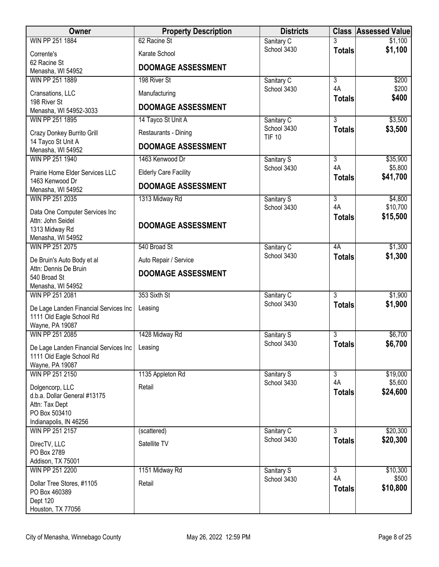| Owner                                               | <b>Property Description</b>  | <b>Districts</b>             |                     | <b>Class Assessed Value</b> |
|-----------------------------------------------------|------------------------------|------------------------------|---------------------|-----------------------------|
| WIN PP 251 1884                                     | 62 Racine St                 | Sanitary C                   |                     | \$1,100                     |
| Corrente's                                          | Karate School                | School 3430                  | <b>Totals</b>       | \$1,100                     |
| 62 Racine St<br>Menasha, WI 54952                   | <b>DOOMAGE ASSESSMENT</b>    |                              |                     |                             |
| WIN PP 251 1889                                     | 198 River St                 | Sanitary C                   | $\overline{3}$      | \$200                       |
| Cransations, LLC<br>198 River St                    | Manufacturing                | School 3430                  | 4A<br><b>Totals</b> | \$200<br>\$400              |
| Menasha, WI 54952-3033                              | <b>DOOMAGE ASSESSMENT</b>    |                              |                     |                             |
| WIN PP 251 1895                                     | 14 Tayco St Unit A           | Sanitary C                   | $\overline{3}$      | \$3,500                     |
| Crazy Donkey Burrito Grill                          | Restaurants - Dining         | School 3430<br><b>TIF 10</b> | <b>Totals</b>       | \$3,500                     |
| 14 Tayco St Unit A<br>Menasha, WI 54952             | <b>DOOMAGE ASSESSMENT</b>    |                              |                     |                             |
| WIN PP 251 1940                                     | 1463 Kenwood Dr              | Sanitary S                   | $\overline{3}$      | \$35,900                    |
| Prairie Home Elder Services LLC<br>1463 Kenwood Dr  | <b>Elderly Care Facility</b> | School 3430                  | 4A<br><b>Totals</b> | \$5,800<br>\$41,700         |
| Menasha, WI 54952                                   | <b>DOOMAGE ASSESSMENT</b>    |                              |                     |                             |
| WIN PP 251 2035                                     | 1313 Midway Rd               | Sanitary S                   | $\overline{3}$      | \$4,800                     |
| Data One Computer Services Inc                      |                              | School 3430                  | 4A                  | \$10,700                    |
| Attn: John Seidel                                   | <b>DOOMAGE ASSESSMENT</b>    |                              | <b>Totals</b>       | \$15,500                    |
| 1313 Midway Rd                                      |                              |                              |                     |                             |
| Menasha, WI 54952<br>WIN PP 251 2075                | 540 Broad St                 | Sanitary C                   | 4A                  | \$1,300                     |
|                                                     |                              | School 3430                  | <b>Totals</b>       | \$1,300                     |
| De Bruin's Auto Body et al<br>Attn: Dennis De Bruin | Auto Repair / Service        |                              |                     |                             |
| 540 Broad St                                        | <b>DOOMAGE ASSESSMENT</b>    |                              |                     |                             |
| Menasha, WI 54952                                   |                              |                              |                     |                             |
| WIN PP 251 2081                                     | 353 Sixth St                 | Sanitary C                   | $\overline{3}$      | \$1,900                     |
| De Lage Landen Financial Services Inc               | Leasing                      | School 3430                  | <b>Totals</b>       | \$1,900                     |
| 1111 Old Eagle School Rd                            |                              |                              |                     |                             |
| Wayne, PA 19087                                     |                              |                              |                     |                             |
| WIN PP 251 2085                                     | 1428 Midway Rd               | Sanitary S<br>School 3430    | 3                   | \$6,700<br>\$6,700          |
| De Lage Landen Financial Services Inc               | Leasing                      |                              | <b>Totals</b>       |                             |
| 1111 Old Eagle School Rd<br>Wayne, PA 19087         |                              |                              |                     |                             |
| WIN PP 251 2150                                     | 1135 Appleton Rd             | Sanitary S                   | $\overline{3}$      | \$19,000                    |
|                                                     | Retail                       | School 3430                  | 4A                  | \$5,600                     |
| Dolgencorp, LLC<br>d.b.a. Dollar General #13175     |                              |                              | <b>Totals</b>       | \$24,600                    |
| Attn: Tax Dept                                      |                              |                              |                     |                             |
| PO Box 503410                                       |                              |                              |                     |                             |
| Indianapolis, IN 46256<br>WIN PP 251 2157           | (scattered)                  | Sanitary C                   | $\overline{3}$      | \$20,300                    |
|                                                     |                              | School 3430                  | <b>Totals</b>       | \$20,300                    |
| DirecTV, LLC<br>PO Box 2789                         | Satellite TV                 |                              |                     |                             |
| Addison, TX 75001                                   |                              |                              |                     |                             |
| WIN PP 251 2200                                     | 1151 Midway Rd               | Sanitary S                   | $\overline{3}$      | \$10,300                    |
| Dollar Tree Stores, #1105                           | Retail                       | School 3430                  | 4A                  | \$500                       |
| PO Box 460389                                       |                              |                              | <b>Totals</b>       | \$10,800                    |
| Dept 120                                            |                              |                              |                     |                             |
| Houston, TX 77056                                   |                              |                              |                     |                             |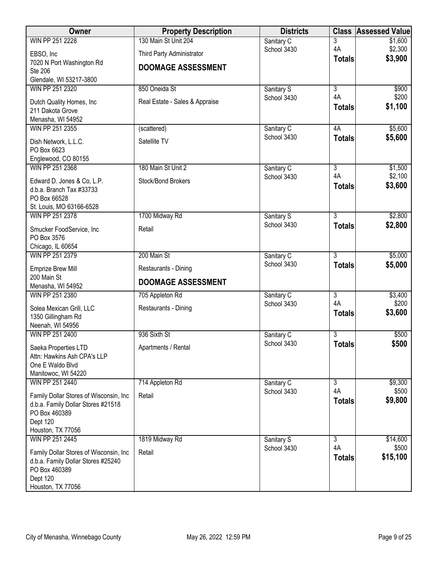| Owner                                   | <b>Property Description</b>    | <b>Districts</b> |                | <b>Class Assessed Value</b> |
|-----------------------------------------|--------------------------------|------------------|----------------|-----------------------------|
| WIN PP 251 2228                         | 130 Main St Unit 204           | Sanitary C       | 3              | \$1,600                     |
| EBSO, Inc                               | Third Party Administrator      | School 3430      | 4A             | \$2,300                     |
| 7020 N Port Washington Rd               |                                |                  | <b>Totals</b>  | \$3,900                     |
| <b>Ste 206</b>                          | <b>DOOMAGE ASSESSMENT</b>      |                  |                |                             |
| Glendale, WI 53217-3800                 |                                |                  |                |                             |
| WIN PP 251 2320                         | 850 Oneida St                  | Sanitary S       | $\overline{3}$ | \$900                       |
| Dutch Quality Homes, Inc                | Real Estate - Sales & Appraise | School 3430      | 4A             | \$200                       |
| 211 Dakota Grove                        |                                |                  | <b>Totals</b>  | \$1,100                     |
| Menasha, WI 54952                       |                                |                  |                |                             |
| WIN PP 251 2355                         | (scattered)                    | Sanitary C       | 4A             | \$5,600                     |
| Dish Network, L.L.C.                    | Satellite TV                   | School 3430      | <b>Totals</b>  | \$5,600                     |
| PO Box 6623                             |                                |                  |                |                             |
| Englewood, CO 80155                     |                                |                  |                |                             |
| WIN PP 251 2368                         | 180 Main St Unit 2             | Sanitary C       | $\overline{3}$ | \$1,500                     |
| Edward D. Jones & Co, L.P.              | Stock/Bond Brokers             | School 3430      | 4A             | \$2,100                     |
| d.b.a. Branch Tax #33733                |                                |                  | <b>Totals</b>  | \$3,600                     |
| PO Box 66528                            |                                |                  |                |                             |
| St. Louis, MO 63166-6528                |                                |                  |                |                             |
| WIN PP 251 2378                         | 1700 Midway Rd                 | Sanitary S       | $\overline{3}$ | \$2,800                     |
| Smucker FoodService, Inc                | Retail                         | School 3430      | <b>Totals</b>  | \$2,800                     |
| PO Box 3576                             |                                |                  |                |                             |
| Chicago, IL 60654                       |                                |                  |                |                             |
| WIN PP 251 2379                         | 200 Main St                    | Sanitary C       | $\overline{3}$ | \$5,000                     |
| <b>Emprize Brew Mill</b>                | Restaurants - Dining           | School 3430      | <b>Totals</b>  | \$5,000                     |
| 200 Main St                             |                                |                  |                |                             |
| Menasha, WI 54952                       | <b>DOOMAGE ASSESSMENT</b>      |                  |                |                             |
| WIN PP 251 2380                         | 705 Appleton Rd                | Sanitary C       | $\overline{3}$ | \$3,400                     |
| Solea Mexican Grill, LLC                | Restaurants - Dining           | School 3430      | 4A             | \$200                       |
| 1350 Gillingham Rd                      |                                |                  | <b>Totals</b>  | \$3,600                     |
| Neenah, WI 54956                        |                                |                  |                |                             |
| WIN PP 251 2400                         | 936 Sixth St                   | Sanitary C       | $\overline{3}$ | \$500                       |
| Saeka Properties LTD                    | Apartments / Rental            | School 3430      | <b>Totals</b>  | \$500                       |
| Attn: Hawkins Ash CPA's LLP             |                                |                  |                |                             |
| One E Waldo Blvd                        |                                |                  |                |                             |
| Manitowoc, WI 54220                     |                                |                  |                |                             |
| WIN PP 251 2440                         | 714 Appleton Rd                | Sanitary C       | 3              | \$9,300                     |
| Family Dollar Stores of Wisconsin, Inc. | Retail                         | School 3430      | 4A             | \$500                       |
| d.b.a. Family Dollar Stores #21518      |                                |                  | <b>Totals</b>  | \$9,800                     |
| PO Box 460389                           |                                |                  |                |                             |
| Dept 120                                |                                |                  |                |                             |
| Houston, TX 77056                       |                                |                  |                |                             |
| WIN PP 251 2445                         | 1819 Midway Rd                 | Sanitary S       | 3              | \$14,600                    |
| Family Dollar Stores of Wisconsin, Inc. | Retail                         | School 3430      | 4A             | \$500                       |
| d.b.a. Family Dollar Stores #25240      |                                |                  | <b>Totals</b>  | \$15,100                    |
| PO Box 460389                           |                                |                  |                |                             |
| Dept 120                                |                                |                  |                |                             |
| Houston, TX 77056                       |                                |                  |                |                             |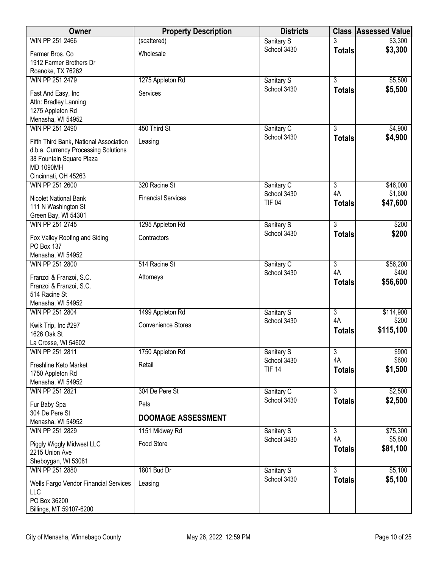| Owner                                        | <b>Property Description</b> | <b>Districts</b>             |                     | <b>Class Assessed Value</b> |
|----------------------------------------------|-----------------------------|------------------------------|---------------------|-----------------------------|
| WIN PP 251 2466                              | (scattered)                 | Sanitary S                   |                     | \$3,300                     |
| Farmer Bros. Co                              | Wholesale                   | School 3430                  | <b>Totals</b>       | \$3,300                     |
| 1912 Farmer Brothers Dr<br>Roanoke, TX 76262 |                             |                              |                     |                             |
| WIN PP 251 2479                              | 1275 Appleton Rd            | Sanitary S                   | $\overline{3}$      | \$5,500                     |
|                                              |                             | School 3430                  | <b>Totals</b>       | \$5,500                     |
| Fast And Easy, Inc<br>Attn: Bradley Lanning  | Services                    |                              |                     |                             |
| 1275 Appleton Rd                             |                             |                              |                     |                             |
| Menasha, WI 54952                            |                             |                              |                     |                             |
| WIN PP 251 2490                              | 450 Third St                | Sanitary C                   | $\overline{3}$      | \$4,900                     |
| Fifth Third Bank, National Association       | Leasing                     | School 3430                  | <b>Totals</b>       | \$4,900                     |
| d.b.a. Currency Processing Solutions         |                             |                              |                     |                             |
| 38 Fountain Square Plaza                     |                             |                              |                     |                             |
| <b>MD 1090MH</b><br>Cincinnati, OH 45263     |                             |                              |                     |                             |
| WIN PP 251 2600                              | 320 Racine St               | Sanitary C                   | $\overline{3}$      | \$46,000                    |
|                                              | <b>Financial Services</b>   | School 3430                  | 4A                  | \$1,600                     |
| Nicolet National Bank<br>111 N Washington St |                             | <b>TIF 04</b>                | <b>Totals</b>       | \$47,600                    |
| Green Bay, WI 54301                          |                             |                              |                     |                             |
| WIN PP 251 2745                              | 1295 Appleton Rd            | Sanitary S                   | $\overline{3}$      | \$200                       |
| Fox Valley Roofing and Siding                | Contractors                 | School 3430                  | <b>Totals</b>       | \$200                       |
| PO Box 137                                   |                             |                              |                     |                             |
| Menasha, WI 54952                            |                             |                              |                     |                             |
| WIN PP 251 2800                              | 514 Racine St               | Sanitary C                   | $\overline{3}$      | \$56,200                    |
| Franzoi & Franzoi, S.C.                      | Attorneys                   | School 3430                  | 4A<br><b>Totals</b> | \$400<br>\$56,600           |
| Franzoi & Franzoi, S.C.                      |                             |                              |                     |                             |
| 514 Racine St<br>Menasha, WI 54952           |                             |                              |                     |                             |
| WIN PP 251 2804                              | 1499 Appleton Rd            | Sanitary S                   | $\overline{3}$      | \$114,900                   |
|                                              | <b>Convenience Stores</b>   | School 3430                  | 4A                  | \$200                       |
| Kwik Trip, Inc #297<br>1626 Oak St           |                             |                              | <b>Totals</b>       | \$115,100                   |
| La Crosse, WI 54602                          |                             |                              |                     |                             |
| WIN PP 251 2811                              | 1750 Appleton Rd            | Sanitary S                   | $\overline{3}$      | \$900                       |
| Freshline Keto Market                        | Retail                      | School 3430<br><b>TIF 14</b> | 4A                  | \$600<br>\$1,500            |
| 1750 Appleton Rd                             |                             |                              | <b>Totals</b>       |                             |
| Menasha, WI 54952<br>WIN PP 251 2821         | 304 De Pere St              |                              | $\overline{3}$      | \$2,500                     |
|                                              |                             | Sanitary C<br>School 3430    | <b>Totals</b>       | \$2,500                     |
| Fur Baby Spa<br>304 De Pere St               | Pets                        |                              |                     |                             |
| Menasha, WI 54952                            | <b>DOOMAGE ASSESSMENT</b>   |                              |                     |                             |
| WIN PP 251 2829                              | 1151 Midway Rd              | Sanitary S                   | $\overline{3}$      | \$75,300                    |
| Piggly Wiggly Midwest LLC                    | Food Store                  | School 3430                  | 4A                  | \$5,800                     |
| 2215 Union Ave                               |                             |                              | <b>Totals</b>       | \$81,100                    |
| Sheboygan, WI 53081                          |                             |                              |                     |                             |
| WIN PP 251 2880                              | 1801 Bud Dr                 | Sanitary S                   | $\overline{3}$      | \$5,100                     |
| Wells Fargo Vendor Financial Services        | Leasing                     | School 3430                  | <b>Totals</b>       | \$5,100                     |
| LLC                                          |                             |                              |                     |                             |
| PO Box 36200<br>Billings, MT 59107-6200      |                             |                              |                     |                             |
|                                              |                             |                              |                     |                             |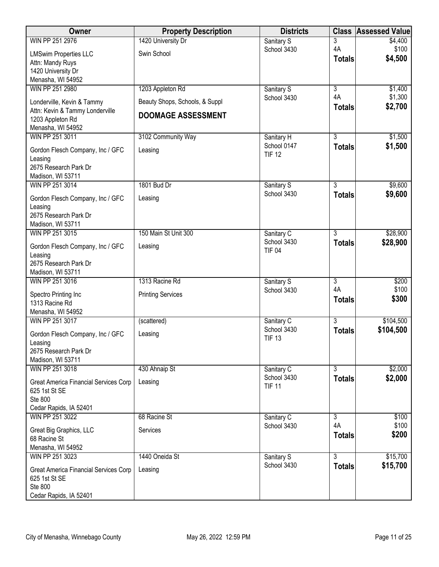| 3<br>Sanitary S<br>4A<br>\$100<br>School 3430<br>Swin School<br><b>LMSwim Properties LLC</b><br>\$4,500<br><b>Totals</b><br>Attn: Mandy Ruys<br>1420 University Dr<br>Menasha, WI 54952<br>WIN PP 251 2980<br>1203 Appleton Rd<br>$\overline{3}$<br>\$1,400<br>Sanitary S<br>4A<br>\$1,300<br>School 3430<br>Londerville, Kevin & Tammy<br>Beauty Shops, Schools, & Suppl<br>\$2,700<br><b>Totals</b><br>Attn: Kevin & Tammy Londerville<br><b>DOOMAGE ASSESSMENT</b><br>1203 Appleton Rd<br>Menasha, WI 54952<br>$\overline{3}$<br>\$1,500<br>WIN PP 251 3011<br>3102 Community Way<br>Sanitary H<br>School 0147<br>\$1,500<br><b>Totals</b><br>Gordon Flesch Company, Inc / GFC<br>Leasing<br><b>TIF 12</b><br>Leasing<br>2675 Research Park Dr<br>Madison, WI 53711<br>$\overline{3}$<br>WIN PP 251 3014<br>1801 Bud Dr<br>\$9,600<br>Sanitary S<br>School 3430<br>\$9,600<br><b>Totals</b><br>Gordon Flesch Company, Inc / GFC<br>Leasing<br>Leasing<br>2675 Research Park Dr<br>Madison, WI 53711<br>$\overline{3}$<br>\$28,900<br>WIN PP 251 3015<br>150 Main St Unit 300<br>Sanitary C<br>\$28,900<br>School 3430<br><b>Totals</b><br>Gordon Flesch Company, Inc / GFC<br>Leasing<br><b>TIF 04</b><br>Leasing | Owner           | <b>Property Description</b> | <b>Districts</b> | <b>Class</b> | <b>Assessed Value</b> |
|----------------------------------------------------------------------------------------------------------------------------------------------------------------------------------------------------------------------------------------------------------------------------------------------------------------------------------------------------------------------------------------------------------------------------------------------------------------------------------------------------------------------------------------------------------------------------------------------------------------------------------------------------------------------------------------------------------------------------------------------------------------------------------------------------------------------------------------------------------------------------------------------------------------------------------------------------------------------------------------------------------------------------------------------------------------------------------------------------------------------------------------------------------------------------------------------------------------------|-----------------|-----------------------------|------------------|--------------|-----------------------|
|                                                                                                                                                                                                                                                                                                                                                                                                                                                                                                                                                                                                                                                                                                                                                                                                                                                                                                                                                                                                                                                                                                                                                                                                                      | WIN PP 251 2976 | 1420 University Dr          |                  |              | \$4,400               |
|                                                                                                                                                                                                                                                                                                                                                                                                                                                                                                                                                                                                                                                                                                                                                                                                                                                                                                                                                                                                                                                                                                                                                                                                                      |                 |                             |                  |              |                       |
|                                                                                                                                                                                                                                                                                                                                                                                                                                                                                                                                                                                                                                                                                                                                                                                                                                                                                                                                                                                                                                                                                                                                                                                                                      |                 |                             |                  |              |                       |
|                                                                                                                                                                                                                                                                                                                                                                                                                                                                                                                                                                                                                                                                                                                                                                                                                                                                                                                                                                                                                                                                                                                                                                                                                      |                 |                             |                  |              |                       |
|                                                                                                                                                                                                                                                                                                                                                                                                                                                                                                                                                                                                                                                                                                                                                                                                                                                                                                                                                                                                                                                                                                                                                                                                                      |                 |                             |                  |              |                       |
|                                                                                                                                                                                                                                                                                                                                                                                                                                                                                                                                                                                                                                                                                                                                                                                                                                                                                                                                                                                                                                                                                                                                                                                                                      |                 |                             |                  |              |                       |
|                                                                                                                                                                                                                                                                                                                                                                                                                                                                                                                                                                                                                                                                                                                                                                                                                                                                                                                                                                                                                                                                                                                                                                                                                      |                 |                             |                  |              |                       |
|                                                                                                                                                                                                                                                                                                                                                                                                                                                                                                                                                                                                                                                                                                                                                                                                                                                                                                                                                                                                                                                                                                                                                                                                                      |                 |                             |                  |              |                       |
|                                                                                                                                                                                                                                                                                                                                                                                                                                                                                                                                                                                                                                                                                                                                                                                                                                                                                                                                                                                                                                                                                                                                                                                                                      |                 |                             |                  |              |                       |
|                                                                                                                                                                                                                                                                                                                                                                                                                                                                                                                                                                                                                                                                                                                                                                                                                                                                                                                                                                                                                                                                                                                                                                                                                      |                 |                             |                  |              |                       |
|                                                                                                                                                                                                                                                                                                                                                                                                                                                                                                                                                                                                                                                                                                                                                                                                                                                                                                                                                                                                                                                                                                                                                                                                                      |                 |                             |                  |              |                       |
|                                                                                                                                                                                                                                                                                                                                                                                                                                                                                                                                                                                                                                                                                                                                                                                                                                                                                                                                                                                                                                                                                                                                                                                                                      |                 |                             |                  |              |                       |
|                                                                                                                                                                                                                                                                                                                                                                                                                                                                                                                                                                                                                                                                                                                                                                                                                                                                                                                                                                                                                                                                                                                                                                                                                      |                 |                             |                  |              |                       |
|                                                                                                                                                                                                                                                                                                                                                                                                                                                                                                                                                                                                                                                                                                                                                                                                                                                                                                                                                                                                                                                                                                                                                                                                                      |                 |                             |                  |              |                       |
|                                                                                                                                                                                                                                                                                                                                                                                                                                                                                                                                                                                                                                                                                                                                                                                                                                                                                                                                                                                                                                                                                                                                                                                                                      |                 |                             |                  |              |                       |
|                                                                                                                                                                                                                                                                                                                                                                                                                                                                                                                                                                                                                                                                                                                                                                                                                                                                                                                                                                                                                                                                                                                                                                                                                      |                 |                             |                  |              |                       |
|                                                                                                                                                                                                                                                                                                                                                                                                                                                                                                                                                                                                                                                                                                                                                                                                                                                                                                                                                                                                                                                                                                                                                                                                                      |                 |                             |                  |              |                       |
|                                                                                                                                                                                                                                                                                                                                                                                                                                                                                                                                                                                                                                                                                                                                                                                                                                                                                                                                                                                                                                                                                                                                                                                                                      |                 |                             |                  |              |                       |
|                                                                                                                                                                                                                                                                                                                                                                                                                                                                                                                                                                                                                                                                                                                                                                                                                                                                                                                                                                                                                                                                                                                                                                                                                      |                 |                             |                  |              |                       |
|                                                                                                                                                                                                                                                                                                                                                                                                                                                                                                                                                                                                                                                                                                                                                                                                                                                                                                                                                                                                                                                                                                                                                                                                                      |                 |                             |                  |              |                       |
|                                                                                                                                                                                                                                                                                                                                                                                                                                                                                                                                                                                                                                                                                                                                                                                                                                                                                                                                                                                                                                                                                                                                                                                                                      |                 |                             |                  |              |                       |
|                                                                                                                                                                                                                                                                                                                                                                                                                                                                                                                                                                                                                                                                                                                                                                                                                                                                                                                                                                                                                                                                                                                                                                                                                      |                 |                             |                  |              |                       |
| 2675 Research Park Dr                                                                                                                                                                                                                                                                                                                                                                                                                                                                                                                                                                                                                                                                                                                                                                                                                                                                                                                                                                                                                                                                                                                                                                                                |                 |                             |                  |              |                       |
| Madison, WI 53711<br>\$200<br>WIN PP 251 3016<br>1313 Racine Rd<br>Sanitary S<br>3                                                                                                                                                                                                                                                                                                                                                                                                                                                                                                                                                                                                                                                                                                                                                                                                                                                                                                                                                                                                                                                                                                                                   |                 |                             |                  |              |                       |
| 4A<br>\$100<br>School 3430                                                                                                                                                                                                                                                                                                                                                                                                                                                                                                                                                                                                                                                                                                                                                                                                                                                                                                                                                                                                                                                                                                                                                                                           |                 |                             |                  |              |                       |
| <b>Printing Services</b><br>Spectro Printing Inc<br>\$300<br><b>Totals</b><br>1313 Racine Rd                                                                                                                                                                                                                                                                                                                                                                                                                                                                                                                                                                                                                                                                                                                                                                                                                                                                                                                                                                                                                                                                                                                         |                 |                             |                  |              |                       |
| Menasha, WI 54952                                                                                                                                                                                                                                                                                                                                                                                                                                                                                                                                                                                                                                                                                                                                                                                                                                                                                                                                                                                                                                                                                                                                                                                                    |                 |                             |                  |              |                       |
| $\overline{3}$<br>\$104,500<br>WIN PP 251 3017<br>(scattered)<br>Sanitary C                                                                                                                                                                                                                                                                                                                                                                                                                                                                                                                                                                                                                                                                                                                                                                                                                                                                                                                                                                                                                                                                                                                                          |                 |                             |                  |              |                       |
| \$104,500<br>School 3430<br><b>Totals</b>                                                                                                                                                                                                                                                                                                                                                                                                                                                                                                                                                                                                                                                                                                                                                                                                                                                                                                                                                                                                                                                                                                                                                                            |                 |                             |                  |              |                       |
| Gordon Flesch Company, Inc / GFC<br>Leasing<br><b>TIF 13</b><br>Leasing                                                                                                                                                                                                                                                                                                                                                                                                                                                                                                                                                                                                                                                                                                                                                                                                                                                                                                                                                                                                                                                                                                                                              |                 |                             |                  |              |                       |
| 2675 Research Park Dr                                                                                                                                                                                                                                                                                                                                                                                                                                                                                                                                                                                                                                                                                                                                                                                                                                                                                                                                                                                                                                                                                                                                                                                                |                 |                             |                  |              |                       |
| Madison, WI 53711                                                                                                                                                                                                                                                                                                                                                                                                                                                                                                                                                                                                                                                                                                                                                                                                                                                                                                                                                                                                                                                                                                                                                                                                    |                 |                             |                  |              |                       |
| $\overline{3}$<br>WIN PP 251 3018<br>430 Ahnaip St<br>Sanitary C                                                                                                                                                                                                                                                                                                                                                                                                                                                                                                                                                                                                                                                                                                                                                                                                                                                                                                                                                                                                                                                                                                                                                     |                 |                             |                  |              | \$2,000               |
| \$2,000<br>School 3430<br><b>Totals</b><br>Leasing<br>Great America Financial Services Corp                                                                                                                                                                                                                                                                                                                                                                                                                                                                                                                                                                                                                                                                                                                                                                                                                                                                                                                                                                                                                                                                                                                          |                 |                             |                  |              |                       |
| <b>TIF 11</b><br>625 1st St SE                                                                                                                                                                                                                                                                                                                                                                                                                                                                                                                                                                                                                                                                                                                                                                                                                                                                                                                                                                                                                                                                                                                                                                                       |                 |                             |                  |              |                       |
| Ste 800                                                                                                                                                                                                                                                                                                                                                                                                                                                                                                                                                                                                                                                                                                                                                                                                                                                                                                                                                                                                                                                                                                                                                                                                              |                 |                             |                  |              |                       |
| Cedar Rapids, IA 52401                                                                                                                                                                                                                                                                                                                                                                                                                                                                                                                                                                                                                                                                                                                                                                                                                                                                                                                                                                                                                                                                                                                                                                                               |                 |                             |                  |              |                       |
| WIN PP 251 3022<br>68 Racine St<br>Sanitary C<br>$\overline{3}$                                                                                                                                                                                                                                                                                                                                                                                                                                                                                                                                                                                                                                                                                                                                                                                                                                                                                                                                                                                                                                                                                                                                                      |                 |                             |                  |              | \$100                 |
| 4A<br>\$100<br>School 3430<br>Services<br>Great Big Graphics, LLC<br>\$200<br><b>Totals</b>                                                                                                                                                                                                                                                                                                                                                                                                                                                                                                                                                                                                                                                                                                                                                                                                                                                                                                                                                                                                                                                                                                                          |                 |                             |                  |              |                       |
| 68 Racine St                                                                                                                                                                                                                                                                                                                                                                                                                                                                                                                                                                                                                                                                                                                                                                                                                                                                                                                                                                                                                                                                                                                                                                                                         |                 |                             |                  |              |                       |
| Menasha, WI 54952                                                                                                                                                                                                                                                                                                                                                                                                                                                                                                                                                                                                                                                                                                                                                                                                                                                                                                                                                                                                                                                                                                                                                                                                    |                 |                             |                  |              |                       |
| $\overline{3}$<br>WIN PP 251 3023<br>1440 Oneida St<br>Sanitary S<br>\$15,700<br>School 3430                                                                                                                                                                                                                                                                                                                                                                                                                                                                                                                                                                                                                                                                                                                                                                                                                                                                                                                                                                                                                                                                                                                         |                 |                             |                  |              | \$15,700              |
| <b>Totals</b><br>Leasing<br>Great America Financial Services Corp                                                                                                                                                                                                                                                                                                                                                                                                                                                                                                                                                                                                                                                                                                                                                                                                                                                                                                                                                                                                                                                                                                                                                    |                 |                             |                  |              |                       |
| 625 1st St SE<br>Ste 800                                                                                                                                                                                                                                                                                                                                                                                                                                                                                                                                                                                                                                                                                                                                                                                                                                                                                                                                                                                                                                                                                                                                                                                             |                 |                             |                  |              |                       |
| Cedar Rapids, IA 52401                                                                                                                                                                                                                                                                                                                                                                                                                                                                                                                                                                                                                                                                                                                                                                                                                                                                                                                                                                                                                                                                                                                                                                                               |                 |                             |                  |              |                       |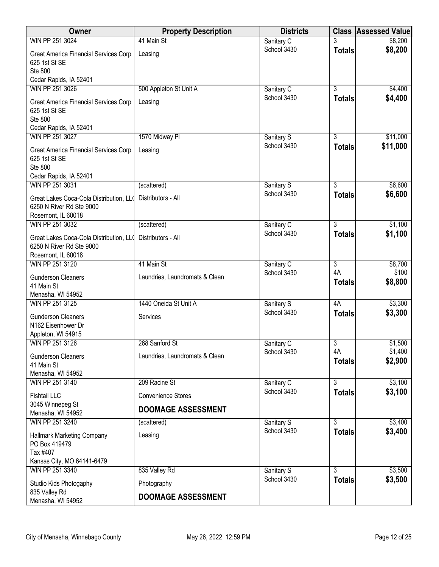| <b>Owner</b>                                       | <b>Property Description</b>    | <b>Districts</b>          | <b>Class</b>                    | <b>Assessed Value</b> |
|----------------------------------------------------|--------------------------------|---------------------------|---------------------------------|-----------------------|
| WIN PP 251 3024                                    | 41 Main St                     | Sanitary C                |                                 | \$8,200               |
| Great America Financial Services Corp              | Leasing                        | School 3430               | <b>Totals</b>                   | \$8,200               |
| 625 1st St SE                                      |                                |                           |                                 |                       |
| Ste 800<br>Cedar Rapids, IA 52401                  |                                |                           |                                 |                       |
| WIN PP 251 3026                                    | 500 Appleton St Unit A         | Sanitary C                | $\overline{3}$                  | \$4,400               |
| Great America Financial Services Corp              | Leasing                        | School 3430               | <b>Totals</b>                   | \$4,400               |
| 625 1st St SE                                      |                                |                           |                                 |                       |
| Ste 800                                            |                                |                           |                                 |                       |
| Cedar Rapids, IA 52401                             |                                |                           |                                 |                       |
| WIN PP 251 3027                                    | 1570 Midway Pl                 | Sanitary S<br>School 3430 | 3<br><b>Totals</b>              | \$11,000<br>\$11,000  |
| Great America Financial Services Corp              | Leasing                        |                           |                                 |                       |
| 625 1st St SE<br><b>Ste 800</b>                    |                                |                           |                                 |                       |
| Cedar Rapids, IA 52401                             |                                |                           |                                 |                       |
| WIN PP 251 3031                                    | (scattered)                    | Sanitary S                | $\overline{3}$                  | \$6,600               |
| Great Lakes Coca-Cola Distribution, LLO            | Distributors - All             | School 3430               | <b>Totals</b>                   | \$6,600               |
| 6250 N River Rd Ste 9000                           |                                |                           |                                 |                       |
| Rosemont, IL 60018                                 |                                |                           |                                 |                       |
| WIN PP 251 3032                                    | (scattered)                    | Sanitary C<br>School 3430 | $\overline{3}$<br><b>Totals</b> | \$1,100<br>\$1,100    |
| Great Lakes Coca-Cola Distribution, LLO            | Distributors - All             |                           |                                 |                       |
| 6250 N River Rd Ste 9000<br>Rosemont, IL 60018     |                                |                           |                                 |                       |
| WIN PP 251 3120                                    | 41 Main St                     | Sanitary C                | $\overline{3}$                  | \$8,700               |
| <b>Gunderson Cleaners</b>                          | Laundries, Laundromats & Clean | School 3430               | 4A                              | \$100                 |
| 41 Main St                                         |                                |                           | <b>Totals</b>                   | \$8,800               |
| Menasha, WI 54952                                  |                                |                           |                                 |                       |
| WIN PP 251 3125                                    | 1440 Oneida St Unit A          | Sanitary S                | 4A                              | \$3,300               |
| <b>Gunderson Cleaners</b>                          | Services                       | School 3430               | <b>Totals</b>                   | \$3,300               |
| N162 Eisenhower Dr                                 |                                |                           |                                 |                       |
| Appleton, WI 54915<br>WIN PP 251 3126              | 268 Sanford St                 | Sanitary C                | 3                               | \$1,500               |
|                                                    |                                | School 3430               | 4A                              | \$1,400               |
| <b>Gunderson Cleaners</b><br>41 Main St            | Laundries, Laundromats & Clean |                           | <b>Totals</b>                   | \$2,900               |
| Menasha, WI 54952                                  |                                |                           |                                 |                       |
| WIN PP 251 3140                                    | 209 Racine St                  | Sanitary C                | $\overline{3}$                  | \$3,100               |
| <b>Fishtail LLC</b>                                | <b>Convenience Stores</b>      | School 3430               | <b>Totals</b>                   | \$3,100               |
| 3045 Winnepeg St                                   | <b>DOOMAGE ASSESSMENT</b>      |                           |                                 |                       |
| Menasha, WI 54952<br>WIN PP 251 3240               | (scattered)                    | Sanitary S                | 3                               | \$3,400               |
|                                                    |                                | School 3430               | <b>Totals</b>                   | \$3,400               |
| <b>Hallmark Marketing Company</b><br>PO Box 419479 | Leasing                        |                           |                                 |                       |
| Tax #407                                           |                                |                           |                                 |                       |
| Kansas City, MO 64141-6479                         |                                |                           |                                 |                       |
| WIN PP 251 3340                                    | 835 Valley Rd                  | Sanitary S                | $\overline{3}$                  | \$3,500               |
| Studio Kids Photogaphy                             | Photography                    | School 3430               | <b>Totals</b>                   | \$3,500               |
| 835 Valley Rd<br>Menasha, WI 54952                 | <b>DOOMAGE ASSESSMENT</b>      |                           |                                 |                       |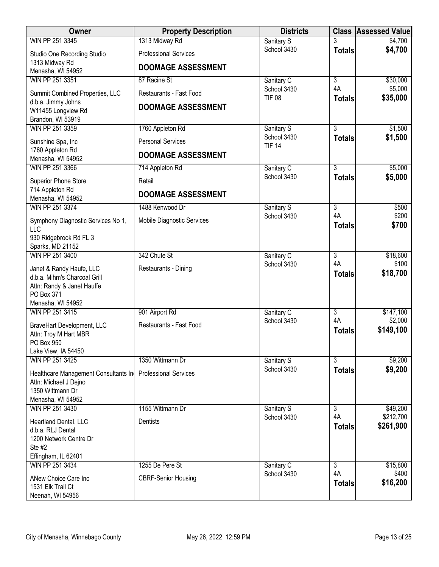| <b>Owner</b>                                  | <b>Property Description</b>  | <b>Districts</b>             |                     | <b>Class Assessed Value</b> |
|-----------------------------------------------|------------------------------|------------------------------|---------------------|-----------------------------|
| WIN PP 251 3345                               | 1313 Midway Rd               | Sanitary S                   |                     | \$4,700                     |
| Studio One Recording Studio<br>1313 Midway Rd | <b>Professional Services</b> | School 3430                  | <b>Totals</b>       | \$4,700                     |
| Menasha, WI 54952                             | <b>DOOMAGE ASSESSMENT</b>    |                              |                     |                             |
| WIN PP 251 3351                               | 87 Racine St                 | Sanitary C                   | $\overline{3}$      | \$30,000                    |
| Summit Combined Properties, LLC               | Restaurants - Fast Food      | School 3430<br><b>TIF 08</b> | 4A<br><b>Totals</b> | \$5,000<br>\$35,000         |
| d.b.a. Jimmy Johns<br>W11455 Longview Rd      | <b>DOOMAGE ASSESSMENT</b>    |                              |                     |                             |
| Brandon, WI 53919                             |                              |                              |                     |                             |
| WIN PP 251 3359                               | 1760 Appleton Rd             | Sanitary S                   | 3                   | \$1,500                     |
| Sunshine Spa, Inc                             | <b>Personal Services</b>     | School 3430<br><b>TIF 14</b> | <b>Totals</b>       | \$1,500                     |
| 1760 Appleton Rd<br>Menasha, WI 54952         | <b>DOOMAGE ASSESSMENT</b>    |                              |                     |                             |
| WIN PP 251 3366                               | 714 Appleton Rd              | Sanitary C                   | $\overline{3}$      | \$5,000                     |
| Superior Phone Store                          | Retail                       | School 3430                  | <b>Totals</b>       | \$5,000                     |
| 714 Appleton Rd<br>Menasha, WI 54952          | <b>DOOMAGE ASSESSMENT</b>    |                              |                     |                             |
| WIN PP 251 3374                               | 1488 Kenwood Dr              | Sanitary S                   | $\overline{3}$      | \$500                       |
| Symphony Diagnostic Services No 1,<br>LLC     | Mobile Diagnostic Services   | School 3430                  | 4A<br><b>Totals</b> | \$200<br>\$700              |
| 930 Ridgebrook Rd FL 3                        |                              |                              |                     |                             |
| Sparks, MD 21152                              |                              |                              |                     |                             |
| WIN PP 251 3400                               | 342 Chute St                 | Sanitary C                   | $\overline{3}$      | \$18,600                    |
| Janet & Randy Haufe, LLC                      | Restaurants - Dining         | School 3430                  | 4A                  | \$100<br>\$18,700           |
| d.b.a. Mihm's Charcoal Grill                  |                              |                              | <b>Totals</b>       |                             |
| Attn: Randy & Janet Hauffe<br>PO Box 371      |                              |                              |                     |                             |
| Menasha, WI 54952                             |                              |                              |                     |                             |
| WIN PP 251 3415                               | 901 Airport Rd               | Sanitary C                   | $\overline{3}$      | \$147,100                   |
| BraveHart Development, LLC                    | Restaurants - Fast Food      | School 3430                  | 4A                  | \$2,000                     |
| Attn: Troy M Hart MBR                         |                              |                              | <b>Totals</b>       | \$149,100                   |
| PO Box 950                                    |                              |                              |                     |                             |
| Lake View, IA 54450                           |                              |                              |                     |                             |
| WIN PP 251 3425                               | 1350 Wittmann Dr             | Sanitary S<br>School 3430    | $\overline{3}$      | \$9,200<br>\$9,200          |
| Healthcare Management Consultants In          | <b>Professional Services</b> |                              | <b>Totals</b>       |                             |
| Attn: Michael J Dejno<br>1350 Wittmann Dr     |                              |                              |                     |                             |
| Menasha, WI 54952                             |                              |                              |                     |                             |
| WIN PP 251 3430                               | 1155 Wittmann Dr             | Sanitary S                   | 3                   | \$49,200                    |
| Heartland Dental, LLC                         | Dentists                     | School 3430                  | 4A                  | \$212,700                   |
| d.b.a. RLJ Dental                             |                              |                              | <b>Totals</b>       | \$261,900                   |
| 1200 Network Centre Dr                        |                              |                              |                     |                             |
| Ste #2<br>Effingham, IL 62401                 |                              |                              |                     |                             |
| WIN PP 251 3434                               | 1255 De Pere St              | Sanitary C                   | 3                   | \$15,800                    |
|                                               |                              | School 3430                  | 4A                  | \$400                       |
| ANew Choice Care Inc<br>1531 Elk Trail Ct     | <b>CBRF-Senior Housing</b>   |                              | <b>Totals</b>       | \$16,200                    |
| Neenah, WI 54956                              |                              |                              |                     |                             |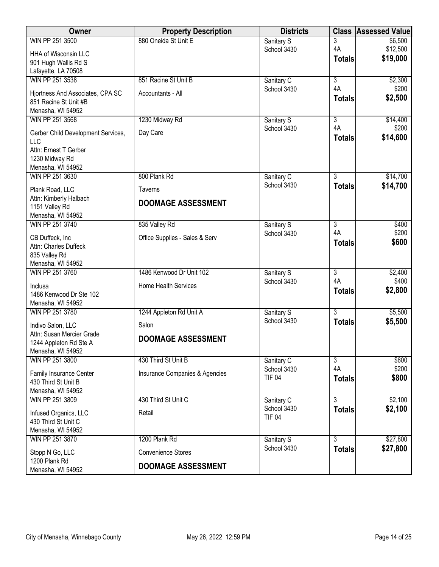| Owner                                               | <b>Property Description</b>    | <b>Districts</b>          | <b>Class</b>   | <b>Assessed Value</b> |
|-----------------------------------------------------|--------------------------------|---------------------------|----------------|-----------------------|
| WIN PP 251 3500                                     | 880 Oneida St Unit E           | Sanitary S                | 3              | \$6,500               |
| HHA of Wisconsin LLC                                |                                | School 3430               | 4A             | \$12,500<br>\$19,000  |
| 901 Hugh Wallis Rd S                                |                                |                           | <b>Totals</b>  |                       |
| Lafayette, LA 70508<br>WIN PP 251 3538              | 851 Racine St Unit B           |                           | $\overline{3}$ | \$2,300               |
|                                                     |                                | Sanitary C<br>School 3430 | 4A             | \$200                 |
| Hjortness And Associates, CPA SC                    | Accountants - All              |                           | <b>Totals</b>  | \$2,500               |
| 851 Racine St Unit #B<br>Menasha, WI 54952          |                                |                           |                |                       |
| WIN PP 251 3568                                     | 1230 Midway Rd                 | Sanitary S                | 3              | \$14,400              |
| Gerber Child Development Services,                  | Day Care                       | School 3430               | 4A             | \$200                 |
| LLC                                                 |                                |                           | <b>Totals</b>  | \$14,600              |
| Attn: Ernest T Gerber                               |                                |                           |                |                       |
| 1230 Midway Rd<br>Menasha, WI 54952                 |                                |                           |                |                       |
| WIN PP 251 3630                                     | 800 Plank Rd                   | Sanitary C                | $\overline{3}$ | \$14,700              |
| Plank Road, LLC                                     | <b>Taverns</b>                 | School 3430               | <b>Totals</b>  | \$14,700              |
| Attn: Kimberly Halbach                              |                                |                           |                |                       |
| 1151 Valley Rd                                      | <b>DOOMAGE ASSESSMENT</b>      |                           |                |                       |
| Menasha, WI 54952                                   |                                |                           |                |                       |
| WIN PP 251 3740                                     | 835 Valley Rd                  | Sanitary S<br>School 3430 | 3<br>4A        | \$400<br>\$200        |
| CB Duffeck, Inc                                     | Office Supplies - Sales & Serv |                           | <b>Totals</b>  | \$600                 |
| Attn: Charles Duffeck<br>835 Valley Rd              |                                |                           |                |                       |
| Menasha, WI 54952                                   |                                |                           |                |                       |
| WIN PP 251 3760                                     | 1486 Kenwood Dr Unit 102       | Sanitary S                | $\overline{3}$ | \$2,400               |
| Inclusa                                             | <b>Home Health Services</b>    | School 3430               | 4A             | \$400                 |
| 1486 Kenwood Dr Ste 102                             |                                |                           | <b>Totals</b>  | \$2,800               |
| Menasha, WI 54952                                   |                                |                           |                |                       |
| WIN PP 251 3780                                     | 1244 Appleton Rd Unit A        | Sanitary S<br>School 3430 | $\overline{3}$ | \$5,500               |
| Indivo Salon, LLC                                   | Salon                          |                           | <b>Totals</b>  | \$5,500               |
| Attn: Susan Mercier Grade<br>1244 Appleton Rd Ste A | <b>DOOMAGE ASSESSMENT</b>      |                           |                |                       |
| Menasha, WI 54952                                   |                                |                           |                |                       |
| WIN PP 251 3800                                     | 430 Third St Unit B            | Sanitary C                | $\overline{3}$ | \$600                 |
| Family Insurance Center                             | Insurance Companies & Agencies | School 3430               | 4A             | \$200                 |
| 430 Third St Unit B                                 |                                | <b>TIF 04</b>             | <b>Totals</b>  | \$800                 |
| Menasha, WI 54952                                   |                                |                           |                |                       |
| WIN PP 251 3809                                     | 430 Third St Unit C            | Sanitary C<br>School 3430 | $\overline{3}$ | \$2,100               |
| Infused Organics, LLC                               | Retail                         | <b>TIF 04</b>             | <b>Totals</b>  | \$2,100               |
| 430 Third St Unit C<br>Menasha, WI 54952            |                                |                           |                |                       |
| WIN PP 251 3870                                     | 1200 Plank Rd                  | Sanitary S                | $\overline{3}$ | \$27,800              |
| Stopp N Go, LLC                                     | <b>Convenience Stores</b>      | School 3430               | <b>Totals</b>  | \$27,800              |
| 1200 Plank Rd                                       |                                |                           |                |                       |
| Menasha, WI 54952                                   | <b>DOOMAGE ASSESSMENT</b>      |                           |                |                       |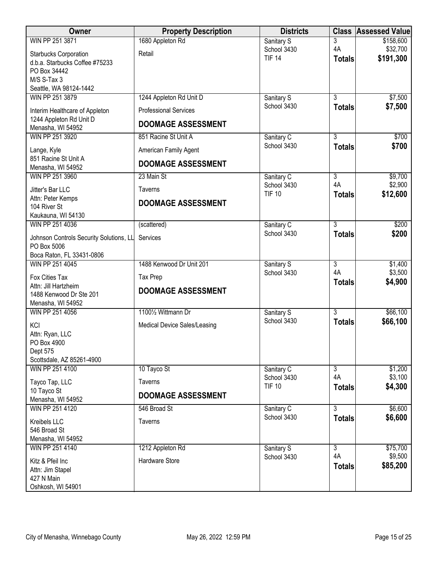| <b>Owner</b>                                 | <b>Property Description</b>  | <b>Districts</b>             | <b>Class</b>        | <b>Assessed Value</b> |
|----------------------------------------------|------------------------------|------------------------------|---------------------|-----------------------|
| WIN PP 251 3871                              | 1680 Appleton Rd             | Sanitary S                   | 3                   | \$158,600             |
| <b>Starbucks Corporation</b>                 | Retail                       | School 3430                  | 4A                  | \$32,700              |
| d.b.a. Starbucks Coffee #75233               |                              | <b>TIF 14</b>                | <b>Totals</b>       | \$191,300             |
| PO Box 34442                                 |                              |                              |                     |                       |
| M/S S-Tax 3                                  |                              |                              |                     |                       |
| Seattle, WA 98124-1442                       |                              |                              |                     |                       |
| WIN PP 251 3879                              | 1244 Appleton Rd Unit D      | Sanitary S                   | $\overline{3}$      | \$7,500               |
| Interim Healthcare of Appleton               | <b>Professional Services</b> | School 3430                  | <b>Totals</b>       | \$7,500               |
| 1244 Appleton Rd Unit D<br>Menasha, WI 54952 | <b>DOOMAGE ASSESSMENT</b>    |                              |                     |                       |
| WIN PP 251 3920                              | 851 Racine St Unit A         | Sanitary C                   | $\overline{3}$      | \$700                 |
| Lange, Kyle                                  | American Family Agent        | School 3430                  | <b>Totals</b>       | \$700                 |
| 851 Racine St Unit A<br>Menasha, WI 54952    | <b>DOOMAGE ASSESSMENT</b>    |                              |                     |                       |
| WIN PP 251 3960                              | 23 Main St                   | Sanitary C                   | $\overline{3}$      | \$9,700               |
| Jitter's Bar LLC                             | <b>Taverns</b>               | School 3430<br><b>TIF 10</b> | 4A<br><b>Totals</b> | \$2,900<br>\$12,600   |
| Attn: Peter Kemps<br>104 River St            | <b>DOOMAGE ASSESSMENT</b>    |                              |                     |                       |
| Kaukauna, WI 54130                           |                              |                              |                     |                       |
| WIN PP 251 4036                              | (scattered)                  | Sanitary C                   | $\overline{3}$      | \$200                 |
|                                              |                              | School 3430                  | <b>Totals</b>       | \$200                 |
| Johnson Controls Security Solutions, LL      | Services                     |                              |                     |                       |
| PO Box 5006                                  |                              |                              |                     |                       |
| Boca Raton, FL 33431-0806<br>WIN PP 251 4045 | 1488 Kenwood Dr Unit 201     |                              | $\overline{3}$      | \$1,400               |
|                                              |                              | Sanitary S<br>School 3430    | 4A                  | \$3,500               |
| Fox Cities Tax                               | Tax Prep                     |                              | <b>Totals</b>       | \$4,900               |
| Attn: Jill Hartzheim                         | <b>DOOMAGE ASSESSMENT</b>    |                              |                     |                       |
| 1488 Kenwood Dr Ste 201                      |                              |                              |                     |                       |
| Menasha, WI 54952                            |                              |                              |                     |                       |
| WIN PP 251 4056                              | 11001/2 Wittmann Dr          | Sanitary S<br>School 3430    | $\overline{3}$      | \$66,100              |
| KCI                                          | Medical Device Sales/Leasing |                              | <b>Totals</b>       | \$66,100              |
| Attn: Ryan, LLC                              |                              |                              |                     |                       |
| PO Box 4900                                  |                              |                              |                     |                       |
| Dept 575                                     |                              |                              |                     |                       |
| Scottsdale, AZ 85261-4900<br>WIN PP 251 4100 | 10 Tayco St                  | Sanitary C                   | $\overline{3}$      | \$1,200               |
| Tayco Tap, LLC                               | <b>Taverns</b>               | School 3430                  | 4A                  | \$3,100               |
| 10 Tayco St                                  |                              | <b>TIF 10</b>                | <b>Totals</b>       | \$4,300               |
| Menasha, WI 54952                            | <b>DOOMAGE ASSESSMENT</b>    |                              |                     |                       |
| WIN PP 251 4120                              | 546 Broad St                 | Sanitary C                   | $\overline{3}$      | \$6,600               |
| Kreibels LLC                                 | Taverns                      | School 3430                  | <b>Totals</b>       | \$6,600               |
| 546 Broad St                                 |                              |                              |                     |                       |
| Menasha, WI 54952                            |                              |                              |                     |                       |
| WIN PP 251 4140                              | 1212 Appleton Rd             | Sanitary S                   | $\overline{3}$      | \$75,700              |
| Kitz & Pfeil Inc                             | Hardware Store               | School 3430                  | 4A                  | \$9,500               |
| Attn: Jim Stapel                             |                              |                              | <b>Totals</b>       | \$85,200              |
| 427 N Main                                   |                              |                              |                     |                       |
| Oshkosh, WI 54901                            |                              |                              |                     |                       |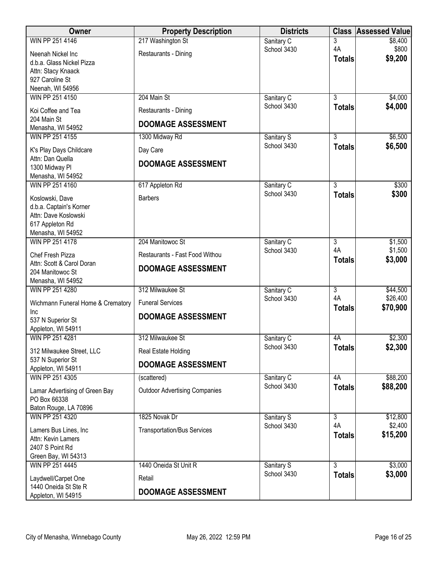| Owner                                                   | <b>Property Description</b>          | <b>Districts</b>          | <b>Class</b>        | <b>Assessed Value</b> |
|---------------------------------------------------------|--------------------------------------|---------------------------|---------------------|-----------------------|
| WIN PP 251 4146                                         | 217 Washington St                    | Sanitary C                | 3                   | \$8,400               |
| Neenah Nickel Inc                                       | Restaurants - Dining                 | School 3430               | 4A<br><b>Totals</b> | \$800<br>\$9,200      |
| d.b.a. Glass Nickel Pizza                               |                                      |                           |                     |                       |
| Attn: Stacy Knaack<br>927 Caroline St                   |                                      |                           |                     |                       |
| Neenah, WI 54956                                        |                                      |                           |                     |                       |
| WIN PP 251 4150                                         | 204 Main St                          | Sanitary C                | $\overline{3}$      | \$4,000               |
| Koi Coffee and Tea<br>204 Main St                       | Restaurants - Dining                 | School 3430               | <b>Totals</b>       | \$4,000               |
| Menasha, WI 54952                                       | <b>DOOMAGE ASSESSMENT</b>            |                           |                     |                       |
| WIN PP 251 4155                                         | 1300 Midway Rd                       | Sanitary S                | 3                   | \$6,500               |
| K's Play Days Childcare                                 | Day Care                             | School 3430               | <b>Totals</b>       | \$6,500               |
| Attn: Dan Quella<br>1300 Midway Pl<br>Menasha, WI 54952 | <b>DOOMAGE ASSESSMENT</b>            |                           |                     |                       |
| WIN PP 251 4160                                         | 617 Appleton Rd                      | Sanitary C                | $\overline{3}$      | \$300                 |
| Koslowski, Dave                                         | <b>Barbers</b>                       | School 3430               | <b>Totals</b>       | \$300                 |
| d.b.a. Captain's Korner                                 |                                      |                           |                     |                       |
| Attn: Dave Koslowski<br>617 Appleton Rd                 |                                      |                           |                     |                       |
| Menasha, WI 54952                                       |                                      |                           |                     |                       |
| WIN PP 251 4178                                         | 204 Manitowoc St                     | Sanitary C                | $\overline{3}$      | \$1,500               |
| Chef Fresh Pizza                                        | Restaurants - Fast Food Withou       | School 3430               | 4A<br><b>Totals</b> | \$1,500<br>\$3,000    |
| Attn: Scott & Carol Doran                               | <b>DOOMAGE ASSESSMENT</b>            |                           |                     |                       |
| 204 Manitowoc St<br>Menasha, WI 54952                   |                                      |                           |                     |                       |
| WIN PP 251 4280                                         | 312 Milwaukee St                     | Sanitary C                | $\overline{3}$      | \$44,500              |
| Wichmann Funeral Home & Crematory                       | <b>Funeral Services</b>              | School 3430               | 4A<br><b>Totals</b> | \$26,400<br>\$70,900  |
| Inc                                                     | <b>DOOMAGE ASSESSMENT</b>            |                           |                     |                       |
| 537 N Superior St<br>Appleton, WI 54911                 |                                      |                           |                     |                       |
| WIN PP 251 4281                                         | 312 Milwaukee St                     | Sanitary C                | 4A                  | \$2,300               |
| 312 Milwaukee Street, LLC                               | Real Estate Holding                  | School 3430               | <b>Totals</b>       | \$2,300               |
| 537 N Superior St                                       |                                      |                           |                     |                       |
| Appleton, WI 54911                                      | <b>DOOMAGE ASSESSMENT</b>            |                           |                     |                       |
| WIN PP 251 4305                                         | (scattered)                          | Sanitary C<br>School 3430 | 4A                  | \$88,200<br>\$88,200  |
| Lamar Advertising of Green Bay                          | <b>Outdoor Advertising Companies</b> |                           | <b>Totals</b>       |                       |
| PO Box 66338<br>Baton Rouge, LA 70896                   |                                      |                           |                     |                       |
| WIN PP 251 4320                                         | 1825 Novak Dr                        | Sanitary S                | $\overline{3}$      | \$12,800              |
| Lamers Bus Lines, Inc                                   | <b>Transportation/Bus Services</b>   | School 3430               | 4A                  | \$2,400               |
| Attn: Kevin Lamers                                      |                                      |                           | <b>Totals</b>       | \$15,200              |
| 2407 S Point Rd                                         |                                      |                           |                     |                       |
| Green Bay, WI 54313                                     |                                      |                           | $\overline{3}$      |                       |
| WIN PP 251 4445                                         | 1440 Oneida St Unit R                | Sanitary S<br>School 3430 | <b>Totals</b>       | \$3,000<br>\$3,000    |
| Laydwell/Carpet One<br>1440 Oneida St Ste R             | Retail                               |                           |                     |                       |
| Appleton, WI 54915                                      | <b>DOOMAGE ASSESSMENT</b>            |                           |                     |                       |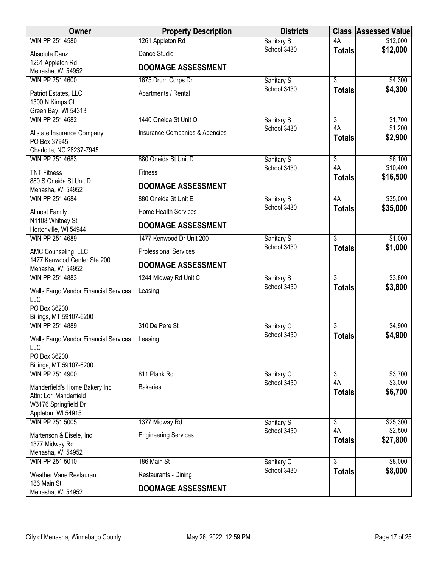| Owner                                               | <b>Property Description</b>    | <b>Districts</b>          |                      | <b>Class Assessed Value</b> |
|-----------------------------------------------------|--------------------------------|---------------------------|----------------------|-----------------------------|
| WIN PP 251 4580                                     | 1261 Appleton Rd               | Sanitary S                | 4A                   | \$12,000                    |
| Absolute Danz                                       | Dance Studio                   | School 3430               | <b>Totals</b>        | \$12,000                    |
| 1261 Appleton Rd                                    | <b>DOOMAGE ASSESSMENT</b>      |                           |                      |                             |
| Menasha, WI 54952<br>WIN PP 251 4600                | 1675 Drum Corps Dr             | Sanitary S                | $\overline{3}$       | \$4,300                     |
| Patriot Estates, LLC                                | Apartments / Rental            | School 3430               | <b>Totals</b>        | \$4,300                     |
| 1300 N Kimps Ct                                     |                                |                           |                      |                             |
| Green Bay, WI 54313                                 |                                |                           |                      |                             |
| WIN PP 251 4682                                     | 1440 Oneida St Unit Q          | Sanitary S                | $\overline{3}$       | \$1,700                     |
| Allstate Insurance Company<br>PO Box 37945          | Insurance Companies & Agencies | School 3430               | 4A<br><b>Totals</b>  | \$1,200<br>\$2,900          |
| Charlotte, NC 28237-7945                            |                                |                           |                      |                             |
| WIN PP 251 4683                                     | 880 Oneida St Unit D           | Sanitary S<br>School 3430 | $\overline{3}$<br>4A | \$6,100<br>\$10,400         |
| <b>TNT Fitness</b>                                  | <b>Fitness</b>                 |                           | <b>Totals</b>        | \$16,500                    |
| 880 S Oneida St Unit D<br>Menasha, WI 54952         | <b>DOOMAGE ASSESSMENT</b>      |                           |                      |                             |
| WIN PP 251 4684                                     | 880 Oneida St Unit E           | Sanitary S                | 4A                   | \$35,000                    |
| <b>Almost Family</b>                                | Home Health Services           | School 3430               | <b>Totals</b>        | \$35,000                    |
| N1108 Whitney St                                    | <b>DOOMAGE ASSESSMENT</b>      |                           |                      |                             |
| Hortonville, WI 54944<br>WIN PP 251 4689            | 1477 Kenwood Dr Unit 200       |                           | $\overline{3}$       | \$1,000                     |
|                                                     |                                | Sanitary S<br>School 3430 | <b>Totals</b>        | \$1,000                     |
| AMC Counseling, LLC<br>1477 Kenwood Center Ste 200  | <b>Professional Services</b>   |                           |                      |                             |
| Menasha, WI 54952                                   | <b>DOOMAGE ASSESSMENT</b>      |                           |                      |                             |
| WIN PP 251 4883                                     | 1244 Midway Rd Unit C          | Sanitary S                | $\overline{3}$       | \$3,800                     |
| Wells Fargo Vendor Financial Services<br><b>LLC</b> | Leasing                        | School 3430               | <b>Totals</b>        | \$3,800                     |
| PO Box 36200                                        |                                |                           |                      |                             |
| Billings, MT 59107-6200                             |                                |                           |                      |                             |
| WIN PP 251 4889                                     | 310 De Pere St                 | Sanitary C<br>School 3430 | 3                    | \$4,900<br>\$4,900          |
| <b>Wells Fargo Vendor Financial Services</b>        | Leasing                        |                           | <b>Totals</b>        |                             |
| LLC<br>PO Box 36200                                 |                                |                           |                      |                             |
| Billings, MT 59107-6200                             |                                |                           |                      |                             |
| WIN PP 251 4900                                     | 811 Plank Rd                   | Sanitary C                | 3                    | \$3,700                     |
| Manderfield's Home Bakery Inc                       | <b>Bakeries</b>                | School 3430               | 4A<br><b>Totals</b>  | \$3,000<br>\$6,700          |
| Attn: Lori Manderfield                              |                                |                           |                      |                             |
| W3176 Springfield Dr<br>Appleton, WI 54915          |                                |                           |                      |                             |
| WIN PP 251 5005                                     | 1377 Midway Rd                 | Sanitary S                | $\overline{3}$       | \$25,300                    |
| Martenson & Eisele, Inc                             | <b>Engineering Services</b>    | School 3430               | 4A                   | \$2,500                     |
| 1377 Midway Rd                                      |                                |                           | <b>Totals</b>        | \$27,800                    |
| Menasha, WI 54952<br>WIN PP 251 5010                | 186 Main St                    |                           | $\overline{3}$       |                             |
|                                                     |                                | Sanitary C<br>School 3430 | <b>Totals</b>        | \$8,000<br>\$8,000          |
| <b>Weather Vane Restaurant</b><br>186 Main St       | Restaurants - Dining           |                           |                      |                             |
| Menasha, WI 54952                                   | <b>DOOMAGE ASSESSMENT</b>      |                           |                      |                             |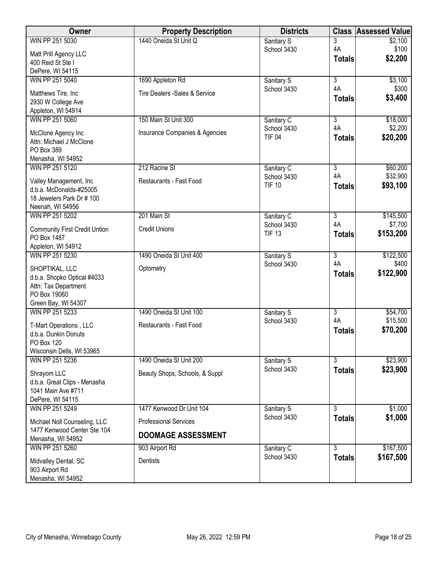| <b>Owner</b>                                                | <b>Property Description</b>    | <b>Districts</b>             |                           | <b>Class Assessed Value</b> |
|-------------------------------------------------------------|--------------------------------|------------------------------|---------------------------|-----------------------------|
| WIN PP 251 5030                                             | 1440 Oneida St Unit Q          | Sanitary S                   | 3                         | \$2,100                     |
| Matt Prill Agency LLC                                       |                                | School 3430                  | 4A<br><b>Totals</b>       | \$100<br>\$2,200            |
| 400 Reid St Ste I                                           |                                |                              |                           |                             |
| DePere, WI 54115<br>WIN PP 251 5040                         | 1690 Appleton Rd               | Sanitary S                   | $\overline{\overline{3}}$ | \$3,100                     |
|                                                             |                                | School 3430                  | 4A                        | \$300                       |
| Matthews Tire, Inc<br>2930 W College Ave                    | Tire Dealers -Sales & Service  |                              | <b>Totals</b>             | \$3,400                     |
| Appleton, WI 54914                                          |                                |                              |                           |                             |
| WIN PP 251 5060                                             | 150 Main St Unit 300           | Sanitary C                   | $\overline{3}$            | \$18,000                    |
| McClone Agency Inc                                          | Insurance Companies & Agencies | School 3430<br><b>TIF 04</b> | 4A                        | \$2,200                     |
| Attn: Michael J McClone                                     |                                |                              | <b>Totals</b>             | \$20,200                    |
| PO Box 389<br>Menasha, WI 54952                             |                                |                              |                           |                             |
| WIN PP 251 5120                                             | 212 Racine St                  | Sanitary C                   | $\overline{3}$            | \$60,200                    |
|                                                             | Restaurants - Fast Food        | School 3430                  | 4A                        | \$32,900                    |
| Valley Management, Inc<br>d.b.a. McDonalds-#25005           |                                | <b>TIF 10</b>                | <b>Totals</b>             | \$93,100                    |
| 18 Jewelers Park Dr # 100                                   |                                |                              |                           |                             |
| Neenah, WI 54956                                            |                                |                              |                           |                             |
| WIN PP 251 5202                                             | 201 Main St                    | Sanitary C<br>School 3430    | $\overline{3}$<br>4A      | \$145,500<br>\$7,700        |
| <b>Community First Credit Untion</b>                        | <b>Credit Unions</b>           | <b>TIF 13</b>                | <b>Totals</b>             | \$153,200                   |
| PO Box 1487<br>Appleton, WI 54912                           |                                |                              |                           |                             |
| WIN PP 251 5230                                             | 1490 Oneida St Unit 400        | Sanitary S                   | $\overline{3}$            | \$122,500                   |
| SHOPTIKAL, LLC                                              | Optometry                      | School 3430                  | 4A                        | \$400                       |
| d.b.a. Shopko Optical #4033                                 |                                |                              | <b>Totals</b>             | \$122,900                   |
| Attn: Tax Department<br>PO Box 19060                        |                                |                              |                           |                             |
| Green Bay, WI 54307                                         |                                |                              |                           |                             |
| WIN PP 251 5233                                             | 1490 Oneida St Unit 100        | Sanitary S                   | $\overline{\overline{3}}$ | \$54,700                    |
| T-Mart Operations, LLC                                      | Restaurants - Fast Food        | School 3430                  | 4A                        | \$15,500                    |
| d.b.a. Dunkin Donuts                                        |                                |                              | <b>Totals</b>             | \$70,200                    |
| PO Box 120<br>Wisconsin Dells, WI 53965                     |                                |                              |                           |                             |
| WIN PP 251 5236                                             | 1490 Oneida St Unit 200        | Sanitary S                   | $\overline{3}$            | \$23,900                    |
| Shrayom LLC                                                 | Beauty Shops, Schools, & Suppl | School 3430                  | <b>Totals</b>             | \$23,900                    |
| d.b.a. Great Clips - Menasha                                |                                |                              |                           |                             |
| 1041 Main Ave #711                                          |                                |                              |                           |                             |
| DePere, WI 54115<br>WIN PP 251 5249                         | 1477 Kenwood Dr Unit 104       | Sanitary S                   | $\overline{3}$            | \$1,000                     |
|                                                             |                                | School 3430                  | <b>Totals</b>             | \$1,000                     |
| Michael Noll Counseling, LLC<br>1477 Kenwood Center Ste 104 | <b>Professional Services</b>   |                              |                           |                             |
| Menasha, WI 54952                                           | <b>DOOMAGE ASSESSMENT</b>      |                              |                           |                             |
| WIN PP 251 5260                                             | 903 Airport Rd                 | Sanitary C                   | $\overline{3}$            | \$167,500                   |
| Midvalley Dental, SC                                        | Dentists                       | School 3430                  | <b>Totals</b>             | \$167,500                   |
| 903 Airport Rd                                              |                                |                              |                           |                             |
| Menasha, WI 54952                                           |                                |                              |                           |                             |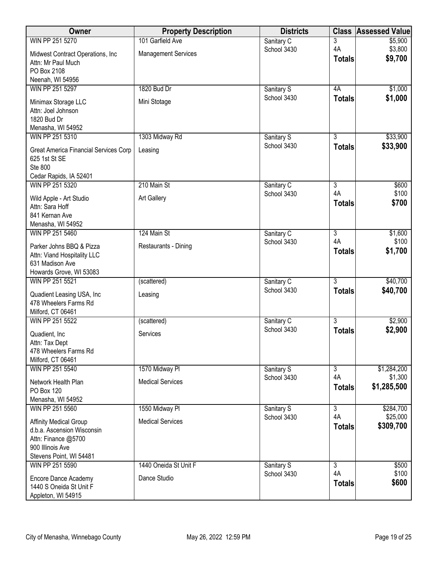| Owner                                                                                                                             | <b>Property Description</b>               | <b>Districts</b>          |                                       | <b>Class Assessed Value</b>           |
|-----------------------------------------------------------------------------------------------------------------------------------|-------------------------------------------|---------------------------|---------------------------------------|---------------------------------------|
| WIN PP 251 5270                                                                                                                   | 101 Garfield Ave                          | Sanitary C                | 3                                     | \$5,900                               |
| Midwest Contract Operations, Inc<br>Attn: Mr Paul Much<br>PO Box 2108                                                             | <b>Management Services</b>                | School 3430               | 4A<br><b>Totals</b>                   | \$3,800<br>\$9,700                    |
| Neenah, WI 54956                                                                                                                  |                                           |                           |                                       |                                       |
| WIN PP 251 5297<br>Minimax Storage LLC<br>Attn: Joel Johnson<br>1820 Bud Dr<br>Menasha, WI 54952                                  | 1820 Bud Dr<br>Mini Stotage               | Sanitary S<br>School 3430 | 4A<br><b>Totals</b>                   | \$1,000<br>\$1,000                    |
| WIN PP 251 5310                                                                                                                   | 1303 Midway Rd                            | Sanitary S                | $\overline{3}$                        | \$33,900                              |
| Great America Financial Services Corp<br>625 1st St SE<br>Ste 800<br>Cedar Rapids, IA 52401                                       | Leasing                                   | School 3430               | <b>Totals</b>                         | \$33,900                              |
| WIN PP 251 5320                                                                                                                   | 210 Main St                               | Sanitary C                | $\overline{3}$                        | \$600                                 |
| Wild Apple - Art Studio<br>Attn: Sara Hoff<br>841 Kernan Ave<br>Menasha, WI 54952                                                 | <b>Art Gallery</b>                        | School 3430               | 4A<br><b>Totals</b>                   | \$100<br>\$700                        |
| WIN PP 251 5460                                                                                                                   | 124 Main St                               | Sanitary C                | $\overline{3}$                        | \$1,600                               |
| Parker Johns BBQ & Pizza<br>Attn: Viand Hospitality LLC<br>631 Madison Ave<br>Howards Grove, WI 53083                             | Restaurants - Dining                      | School 3430               | 4A<br><b>Totals</b>                   | \$100<br>\$1,700                      |
| WIN PP 251 5521                                                                                                                   | (scattered)                               | Sanitary C                | $\overline{3}$                        | \$40,700                              |
| Quadient Leasing USA, Inc.<br>478 Wheelers Farms Rd<br>Milford, CT 06461                                                          | Leasing                                   | School 3430               | Totals                                | \$40,700                              |
| WIN PP 251 5522                                                                                                                   | (scattered)                               | Sanitary C                | $\overline{3}$                        | \$2,900                               |
| Quadient, Inc.<br>Attn: Tax Dept<br>478 Wheelers Farms Rd                                                                         | Services                                  | School 3430               | <b>Totals</b>                         | \$2,900                               |
| Milford, CT 06461                                                                                                                 |                                           |                           |                                       |                                       |
| WIN PP 251 5540<br>Network Health Plan<br>PO Box 120<br>Menasha, WI 54952                                                         | 1570 Midway Pl<br><b>Medical Services</b> | Sanitary S<br>School 3430 | $\overline{3}$<br>4A<br><b>Totals</b> | \$1,284,200<br>\$1,300<br>\$1,285,500 |
| WIN PP 251 5560                                                                                                                   | 1550 Midway Pl                            | Sanitary S                | $\overline{3}$                        | \$284,700                             |
| <b>Affinity Medical Group</b><br>d.b.a. Ascension Wisconsin<br>Attn: Finance @5700<br>900 Illinois Ave<br>Stevens Point, WI 54481 | <b>Medical Services</b>                   | School 3430               | 4A<br><b>Totals</b>                   | \$25,000<br>\$309,700                 |
| WIN PP 251 5590                                                                                                                   | 1440 Oneida St Unit F                     | Sanitary S                | $\overline{3}$                        | \$500                                 |
| Encore Dance Academy<br>1440 S Oneida St Unit F<br>Appleton, WI 54915                                                             | Dance Studio                              | School 3430               | 4A<br><b>Totals</b>                   | \$100<br>\$600                        |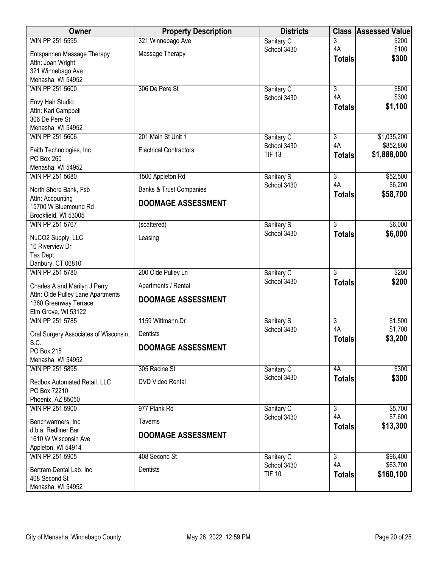| <b>Owner</b>                                                                                                       | <b>Property Description</b>                      | <b>Districts</b>             | <b>Class</b>        | <b>Assessed Value</b>    |
|--------------------------------------------------------------------------------------------------------------------|--------------------------------------------------|------------------------------|---------------------|--------------------------|
| WIN PP 251 5595                                                                                                    | 321 Winnebago Ave                                | Sanitary C                   | 3                   | \$200                    |
| Entspannen Massage Therapy<br>Attn: Joan Wright<br>321 Winnebago Ave                                               | Massage Therapy                                  | School 3430                  | 4A<br><b>Totals</b> | \$100<br>\$300           |
| Menasha, WI 54952<br>WIN PP 251 5600                                                                               | 306 De Pere St                                   | Sanitary C                   | 3                   | \$800                    |
| Envy Hair Studio<br>Attn: Kari Campbell<br>306 De Pere St<br>Menasha, WI 54952                                     |                                                  | School 3430                  | 4A<br><b>Totals</b> | \$300<br>\$1,100         |
| WIN PP 251 5606                                                                                                    | 201 Main St Unit 1                               | Sanitary C                   | $\overline{3}$      | \$1,035,200              |
| Faith Technologies, Inc<br>PO Box 260<br>Menasha, WI 54952                                                         | <b>Electrical Contractors</b>                    | School 3430<br><b>TIF 13</b> | 4A<br><b>Totals</b> | \$852,800<br>\$1,888,000 |
| WIN PP 251 5680                                                                                                    | 1500 Appleton Rd                                 | Sanitary S                   | $\overline{3}$      | \$52,500                 |
| North Shore Bank, Fsb                                                                                              | <b>Banks &amp; Trust Companies</b>               | School 3430                  | 4A<br><b>Totals</b> | \$6,200<br>\$58,700      |
| Attn: Accounting<br>15700 W Bluemound Rd<br>Brookfield, WI 53005                                                   | <b>DOOMAGE ASSESSMENT</b>                        |                              |                     |                          |
| WIN PP 251 5767                                                                                                    | (scattered)                                      | Sanitary S                   | $\overline{3}$      | \$6,000                  |
| NuCO2 Supply, LLC<br>10 Riverview Dr<br><b>Tax Dept</b>                                                            | Leasing                                          | School 3430                  | <b>Totals</b>       | \$6,000                  |
| Danbury, CT 06810<br>WIN PP 251 5780                                                                               | 200 Olde Pulley Ln                               |                              | $\overline{3}$      | \$200                    |
|                                                                                                                    |                                                  | Sanitary C<br>School 3430    | <b>Totals</b>       | \$200                    |
| Charles A and Marilyn J Perry<br>Attn: Olde Pulley Lane Apartments<br>1360 Greenway Terrace<br>Elm Grove, WI 53122 | Apartments / Rental<br><b>DOOMAGE ASSESSMENT</b> |                              |                     |                          |
| WIN PP 251 5785                                                                                                    | 1159 Wittmann Dr                                 | Sanitary S                   | 3                   | \$1,500                  |
| Oral Surgery Associates of Wisconsin,                                                                              | Dentists                                         | School 3430                  | 4A                  | \$1,700                  |
| S.C.<br>PO Box 215<br>Menasha, WI 54952                                                                            | <b>DOOMAGE ASSESSMENT</b>                        |                              | <b>Totals</b>       | \$3,200                  |
| WIN PP 251 5895                                                                                                    | 305 Racine St                                    | Sanitary C                   | 4A                  | \$300                    |
| Redbox Automated Retail, LLC<br>PO Box 72210<br>Phoenix, AZ 85050                                                  | <b>DVD Video Rental</b>                          | School 3430                  | <b>Totals</b>       | \$300                    |
| WIN PP 251 5900                                                                                                    | 977 Plank Rd                                     | Sanitary C                   | $\overline{3}$      | \$5,700                  |
| Benchwarmers, Inc                                                                                                  | <b>Taverns</b>                                   | School 3430                  | 4A                  | \$7,600<br>\$13,300      |
| d.b.a. Redliner Bar<br>1610 W Wisconsin Ave<br>Appleton, WI 54914                                                  | <b>DOOMAGE ASSESSMENT</b>                        |                              | <b>Totals</b>       |                          |
| WIN PP 251 5905                                                                                                    | 408 Second St                                    | Sanitary C                   | $\overline{3}$      | \$96,400                 |
| Bertram Dental Lab, Inc<br>408 Second St<br>Menasha, WI 54952                                                      | Dentists                                         | School 3430<br><b>TIF 10</b> | 4A<br><b>Totals</b> | \$63,700<br>\$160,100    |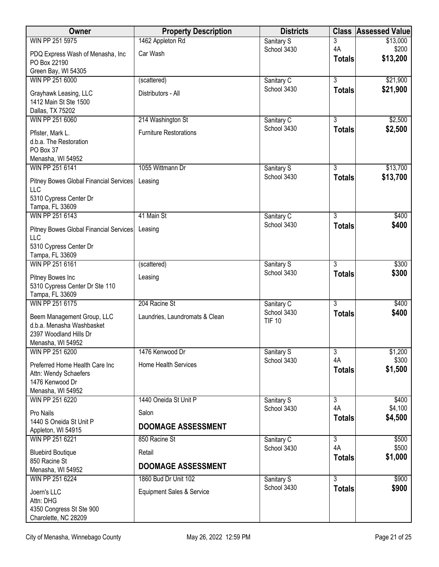| Owner                                                                                                  | <b>Property Description</b>    | <b>Districts</b>             | <b>Class</b>        | <b>Assessed Value</b> |
|--------------------------------------------------------------------------------------------------------|--------------------------------|------------------------------|---------------------|-----------------------|
| WIN PP 251 5975                                                                                        | 1462 Appleton Rd               | Sanitary S                   | 3                   | \$13,000              |
| PDQ Express Wash of Menasha, Inc<br>PO Box 22190<br>Green Bay, WI 54305                                | Car Wash                       | School 3430                  | 4A<br><b>Totals</b> | \$200<br>\$13,200     |
| WIN PP 251 6000                                                                                        | (scattered)                    | Sanitary C                   | $\overline{3}$      | \$21,900              |
| Grayhawk Leasing, LLC<br>1412 Main St Ste 1500<br>Dallas, TX 75202                                     | Distributors - All             | School 3430                  | <b>Totals</b>       | \$21,900              |
| WIN PP 251 6060                                                                                        | 214 Washington St              | Sanitary C                   | $\overline{3}$      | \$2,500               |
| Pfister, Mark L.<br>d.b.a. The Restoration<br>PO Box 37                                                | <b>Furniture Restorations</b>  | School 3430                  | <b>Totals</b>       | \$2,500               |
| Menasha, WI 54952<br>WIN PP 251 6141                                                                   | 1055 Wittmann Dr               |                              | $\overline{3}$      | \$13,700              |
| Pitney Bowes Global Financial Services<br><b>LLC</b>                                                   | Leasing                        | Sanitary S<br>School 3430    | <b>Totals</b>       | \$13,700              |
| 5310 Cypress Center Dr<br>Tampa, FL 33609                                                              |                                |                              |                     |                       |
| WIN PP 251 6143                                                                                        | 41 Main St                     | Sanitary C                   | $\overline{3}$      | \$400                 |
| Pitney Bowes Global Financial Services<br>LLC<br>5310 Cypress Center Dr                                | Leasing                        | School 3430                  | <b>Totals</b>       | \$400                 |
| Tampa, FL 33609                                                                                        |                                |                              |                     |                       |
| WIN PP 251 6161                                                                                        | (scattered)                    | Sanitary S                   | $\overline{3}$      | \$300                 |
| Pitney Bowes Inc<br>5310 Cypress Center Dr Ste 110<br>Tampa, FL 33609                                  | Leasing                        | School 3430                  | <b>Totals</b>       | \$300                 |
| WIN PP 251 6175                                                                                        | 204 Racine St                  | Sanitary C                   | $\overline{3}$      | \$400                 |
| Beem Management Group, LLC<br>d.b.a. Menasha Washbasket<br>2397 Woodland Hills Dr<br>Menasha, WI 54952 | Laundries, Laundromats & Clean | School 3430<br><b>TIF 10</b> | <b>Totals</b>       | \$400                 |
| WIN PP 251 6200                                                                                        | 1476 Kenwood Dr                | Sanitary S                   | 3                   | \$1,200               |
| Preferred Home Health Care Inc<br>Attn: Wendy Schaefers<br>1476 Kenwood Dr<br>Menasha, WI 54952        | <b>Home Health Services</b>    | School 3430                  | 4A<br><b>Totals</b> | \$300<br>\$1,500      |
| WIN PP 251 6220                                                                                        | 1440 Oneida St Unit P          | Sanitary S                   | 3                   | \$400                 |
| Pro Nails                                                                                              | Salon                          | School 3430                  | 4A                  | \$4,100               |
| 1440 S Oneida St Unit P<br>Appleton, WI 54915                                                          | <b>DOOMAGE ASSESSMENT</b>      |                              | <b>Totals</b>       | \$4,500               |
| WIN PP 251 6221                                                                                        | 850 Racine St                  | Sanitary C                   | $\overline{3}$      | \$500                 |
| <b>Bluebird Boutique</b><br>850 Racine St                                                              | Retail                         | School 3430                  | 4A<br><b>Totals</b> | \$500<br>\$1,000      |
| Menasha, WI 54952                                                                                      | <b>DOOMAGE ASSESSMENT</b>      |                              |                     |                       |
| WIN PP 251 6224                                                                                        | 1860 Bud Dr Unit 102           | Sanitary S<br>School 3430    | $\overline{3}$      | \$900                 |
| Joern's LLC<br>Attn: DHG                                                                               | Equipment Sales & Service      |                              | <b>Totals</b>       | \$900                 |
| 4350 Congress St Ste 900<br>Charolette, NC 28209                                                       |                                |                              |                     |                       |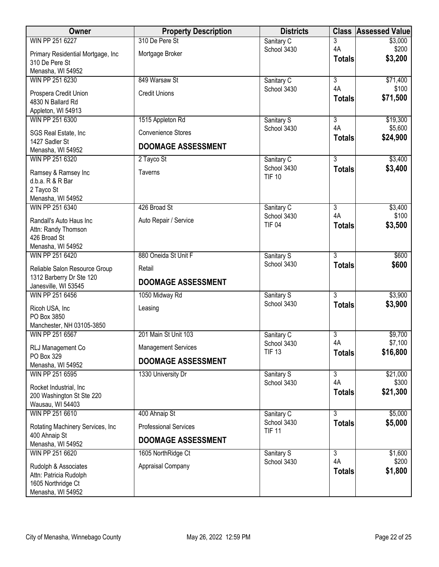| Owner                                                | <b>Property Description</b>  | <b>Districts</b>             |                     | <b>Class Assessed Value</b> |
|------------------------------------------------------|------------------------------|------------------------------|---------------------|-----------------------------|
| WIN PP 251 6227                                      | 310 De Pere St               | Sanitary C                   | 3                   | \$3,000                     |
| Primary Residential Mortgage, Inc.<br>310 De Pere St | Mortgage Broker              | School 3430                  | 4A<br><b>Totals</b> | \$200<br>\$3,200            |
| Menasha, WI 54952                                    |                              |                              |                     |                             |
| WIN PP 251 6230                                      | 849 Warsaw St                | Sanitary C                   | $\overline{3}$      | \$71,400                    |
| Prospera Credit Union<br>4830 N Ballard Rd           | <b>Credit Unions</b>         | School 3430                  | 4A<br><b>Totals</b> | \$100<br>\$71,500           |
| Appleton, WI 54913                                   |                              |                              |                     |                             |
| WIN PP 251 6300                                      | 1515 Appleton Rd             | Sanitary S                   | $\overline{3}$      | \$19,300                    |
| SGS Real Estate, Inc<br>1427 Sadler St               | <b>Convenience Stores</b>    | School 3430                  | 4A<br><b>Totals</b> | \$5,600<br>\$24,900         |
| Menasha, WI 54952                                    | <b>DOOMAGE ASSESSMENT</b>    |                              |                     |                             |
| WIN PP 251 6320                                      | 2 Tayco St                   | Sanitary C                   | $\overline{3}$      | \$3,400                     |
| Ramsey & Ramsey Inc                                  | <b>Taverns</b>               | School 3430<br><b>TIF 10</b> | <b>Totals</b>       | \$3,400                     |
| d.b.a. R & R Bar                                     |                              |                              |                     |                             |
| 2 Tayco St<br>Menasha, WI 54952                      |                              |                              |                     |                             |
| WIN PP 251 6340                                      | 426 Broad St                 | Sanitary C                   | $\overline{3}$      | \$3,400                     |
|                                                      |                              | School 3430                  | 4A                  | \$100                       |
| Randall's Auto Haus Inc                              | Auto Repair / Service        | <b>TIF 04</b>                | <b>Totals</b>       | \$3,500                     |
| Attn: Randy Thomson<br>426 Broad St                  |                              |                              |                     |                             |
| Menasha, WI 54952                                    |                              |                              |                     |                             |
| WIN PP 251 6420                                      | 880 Oneida St Unit F         | Sanitary S                   | $\overline{3}$      | \$600                       |
|                                                      |                              | School 3430                  | <b>Totals</b>       | \$600                       |
| Reliable Salon Resource Group                        | Retail                       |                              |                     |                             |
| 1312 Barberry Dr Ste 120<br>Janesville, WI 53545     | <b>DOOMAGE ASSESSMENT</b>    |                              |                     |                             |
| WIN PP 251 6456                                      | 1050 Midway Rd               | Sanitary S                   | $\overline{3}$      | \$3,900                     |
|                                                      |                              | School 3430                  | <b>Totals</b>       | \$3,900                     |
| Ricoh USA, Inc                                       | Leasing                      |                              |                     |                             |
| PO Box 3850<br>Manchester, NH 03105-3850             |                              |                              |                     |                             |
| WIN PP 251 6567                                      | 201 Main St Unit 103         | Sanitary C                   | $\overline{3}$      | \$9,700                     |
| RLJ Management Co                                    | <b>Management Services</b>   | School 3430<br><b>TIF 13</b> | 4A                  | \$7,100                     |
| PO Box 329                                           | <b>DOOMAGE ASSESSMENT</b>    |                              | <b>Totals</b>       | \$16,800                    |
| Menasha, WI 54952                                    |                              |                              |                     |                             |
| WIN PP 251 6595                                      | 1330 University Dr           | Sanitary S                   | $\overline{3}$      | \$21,000                    |
| Rocket Industrial, Inc                               |                              | School 3430                  | 4A                  | \$300                       |
| 200 Washington St Ste 220                            |                              |                              | <b>Totals</b>       | \$21,300                    |
| Wausau, WI 54403                                     |                              |                              |                     |                             |
| WIN PP 251 6610                                      | 400 Ahnaip St                | Sanitary C                   | $\overline{3}$      | \$5,000                     |
| Rotating Machinery Services, Inc<br>400 Ahnaip St    | <b>Professional Services</b> | School 3430<br><b>TIF 11</b> | <b>Totals</b>       | \$5,000                     |
| Menasha, WI 54952                                    | <b>DOOMAGE ASSESSMENT</b>    |                              |                     |                             |
| WIN PP 251 6620                                      | 1605 NorthRidge Ct           | Sanitary S                   | $\overline{3}$      | \$1,600                     |
|                                                      |                              | School 3430                  | 4A                  | \$200                       |
| Rudolph & Associates                                 | Appraisal Company            |                              | <b>Totals</b>       | \$1,800                     |
| Attn: Patricia Rudolph<br>1605 Northridge Ct         |                              |                              |                     |                             |
| Menasha, WI 54952                                    |                              |                              |                     |                             |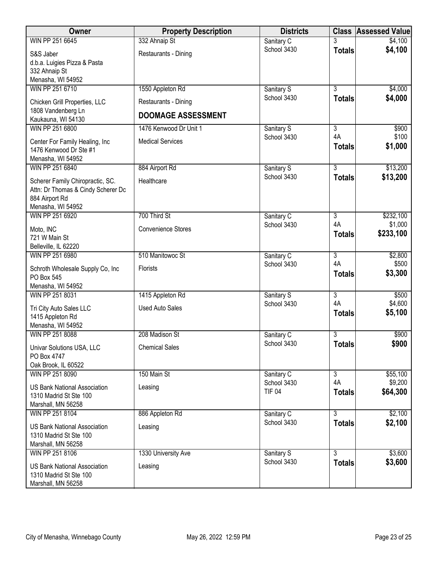| Owner                                                         | <b>Property Description</b> | <b>Districts</b>          |                | <b>Class Assessed Value</b> |
|---------------------------------------------------------------|-----------------------------|---------------------------|----------------|-----------------------------|
| WIN PP 251 6645                                               | 332 Ahnaip St               | Sanitary C                |                | \$4,100                     |
| S&S Jaber                                                     | Restaurants - Dining        | School 3430               | <b>Totals</b>  | \$4,100                     |
| d.b.a. Luigies Pizza & Pasta                                  |                             |                           |                |                             |
| 332 Ahnaip St                                                 |                             |                           |                |                             |
| Menasha, WI 54952                                             |                             |                           |                |                             |
| WIN PP 251 6710                                               | 1550 Appleton Rd            | Sanitary S<br>School 3430 | $\overline{3}$ | \$4,000<br>\$4,000          |
| Chicken Grill Properties, LLC                                 | Restaurants - Dining        |                           | <b>Totals</b>  |                             |
| 1808 Vandenberg Ln                                            | <b>DOOMAGE ASSESSMENT</b>   |                           |                |                             |
| Kaukauna, WI 54130                                            | 1476 Kenwood Dr Unit 1      |                           |                |                             |
| WIN PP 251 6800                                               |                             | Sanitary S<br>School 3430 | 3<br>4A        | \$900<br>\$100              |
| Center For Family Healing, Inc                                | <b>Medical Services</b>     |                           | <b>Totals</b>  | \$1,000                     |
| 1476 Kenwood Dr Ste #1                                        |                             |                           |                |                             |
| Menasha, WI 54952                                             |                             |                           |                |                             |
| WIN PP 251 6840                                               | 884 Airport Rd              | Sanitary S<br>School 3430 | $\overline{3}$ | \$13,200                    |
| Scherer Family Chiropractic, SC.                              | Healthcare                  |                           | <b>Totals</b>  | \$13,200                    |
| Attn: Dr Thomas & Cindy Scherer Dc                            |                             |                           |                |                             |
| 884 Airport Rd                                                |                             |                           |                |                             |
| Menasha, WI 54952<br>WIN PP 251 6920                          | 700 Third St                | Sanitary C                | $\overline{3}$ | \$232,100                   |
|                                                               |                             | School 3430               | 4A             | \$1,000                     |
| Moto, INC                                                     | <b>Convenience Stores</b>   |                           | <b>Totals</b>  | \$233,100                   |
| 721 W Main St                                                 |                             |                           |                |                             |
| Belleville, IL 62220<br>WIN PP 251 6980                       | 510 Manitowoc St            | Sanitary C                | $\overline{3}$ | \$2,800                     |
|                                                               |                             | School 3430               | 4A             | \$500                       |
| Schroth Wholesale Supply Co, Inc                              | Florists                    |                           | <b>Totals</b>  | \$3,300                     |
| PO Box 545<br>Menasha, WI 54952                               |                             |                           |                |                             |
| WIN PP 251 8031                                               | 1415 Appleton Rd            | Sanitary S                | $\overline{3}$ | \$500                       |
|                                                               |                             | School 3430               | 4A             | \$4,600                     |
| Tri City Auto Sales LLC                                       | <b>Used Auto Sales</b>      |                           | <b>Totals</b>  | \$5,100                     |
| 1415 Appleton Rd<br>Menasha, WI 54952                         |                             |                           |                |                             |
| WIN PP 251 8088                                               | 208 Madison St              | Sanitary C                | 3              | \$900                       |
|                                                               |                             | School 3430               | <b>Totals</b>  | \$900                       |
| Univar Solutions USA, LLC                                     | <b>Chemical Sales</b>       |                           |                |                             |
| PO Box 4747<br>Oak Brook, IL 60522                            |                             |                           |                |                             |
| WIN PP 251 8090                                               | 150 Main St                 | Sanitary C                | $\overline{3}$ | \$55,100                    |
|                                                               |                             | School 3430               | 4A             | \$9,200                     |
| <b>US Bank National Association</b><br>1310 Madrid St Ste 100 | Leasing                     | <b>TIF 04</b>             | <b>Totals</b>  | \$64,300                    |
| Marshall, MN 56258                                            |                             |                           |                |                             |
| WIN PP 251 8104                                               | 886 Appleton Rd             | Sanitary C                | $\overline{3}$ | \$2,100                     |
|                                                               |                             | School 3430               | <b>Totals</b>  | \$2,100                     |
| <b>US Bank National Association</b>                           | Leasing                     |                           |                |                             |
| 1310 Madrid St Ste 100<br>Marshall, MN 56258                  |                             |                           |                |                             |
| WIN PP 251 8106                                               | 1330 University Ave         | Sanitary S                | $\overline{3}$ | \$3,600                     |
|                                                               |                             | School 3430               | <b>Totals</b>  | \$3,600                     |
| <b>US Bank National Association</b>                           | Leasing                     |                           |                |                             |
| 1310 Madrid St Ste 100<br>Marshall, MN 56258                  |                             |                           |                |                             |
|                                                               |                             |                           |                |                             |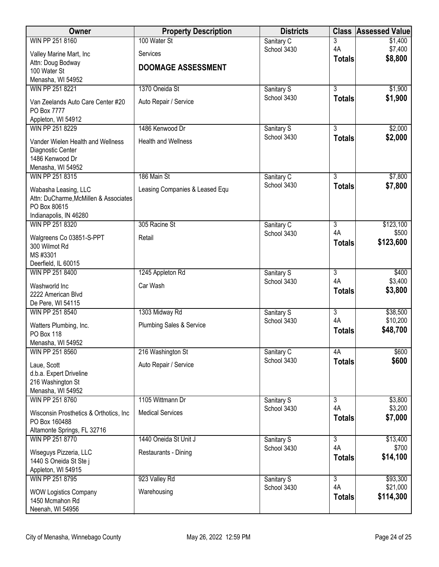| Owner                                           | <b>Property Description</b>         | <b>Districts</b>          | <b>Class</b>         | <b>Assessed Value</b> |
|-------------------------------------------------|-------------------------------------|---------------------------|----------------------|-----------------------|
| WIN PP 251 8160                                 | 100 Water St                        | Sanitary C                | 3                    | \$1,400               |
| Valley Marine Mart, Inc                         | Services                            | School 3430               | 4A<br><b>Totals</b>  | \$7,400<br>\$8,800    |
| Attn: Doug Bodway<br>100 Water St               | <b>DOOMAGE ASSESSMENT</b>           |                           |                      |                       |
| Menasha, WI 54952                               |                                     |                           |                      |                       |
| WIN PP 251 8221                                 | 1370 Oneida St                      | Sanitary S                | $\overline{3}$       | \$1,900               |
| Van Zeelands Auto Care Center #20               | Auto Repair / Service               | School 3430               | <b>Totals</b>        | \$1,900               |
| PO Box 7777                                     |                                     |                           |                      |                       |
| Appleton, WI 54912                              |                                     |                           |                      |                       |
| WIN PP 251 8229                                 | 1486 Kenwood Dr                     | Sanitary S                | $\overline{3}$       | \$2,000               |
| Vander Wielen Health and Wellness               | <b>Health and Wellness</b>          | School 3430               | <b>Totals</b>        | \$2,000               |
| Diagnostic Center                               |                                     |                           |                      |                       |
| 1486 Kenwood Dr<br>Menasha, WI 54952            |                                     |                           |                      |                       |
| WIN PP 251 8315                                 | 186 Main St                         | Sanitary C                | $\overline{3}$       | \$7,800               |
| Wabasha Leasing, LLC                            | Leasing Companies & Leased Equ      | School 3430               | <b>Totals</b>        | \$7,800               |
| Attn: DuCharme, McMillen & Associates           |                                     |                           |                      |                       |
| PO Box 80615                                    |                                     |                           |                      |                       |
| Indianapolis, IN 46280                          |                                     |                           |                      |                       |
| WIN PP 251 8320                                 | 305 Racine St                       | Sanitary C<br>School 3430 | $\overline{3}$<br>4A | \$123,100<br>\$500    |
| Walgreens Co 03851-S-PPT                        | Retail                              |                           | <b>Totals</b>        | \$123,600             |
| 300 Wilmot Rd<br>MS #3301                       |                                     |                           |                      |                       |
| Deerfield, IL 60015                             |                                     |                           |                      |                       |
| WIN PP 251 8400                                 | 1245 Appleton Rd                    | Sanitary S                | $\overline{3}$       | \$400                 |
| Washworld Inc                                   | Car Wash                            | School 3430               | 4A                   | \$3,400               |
| 2222 American Blvd                              |                                     |                           | <b>Totals</b>        | \$3,800               |
| De Pere, WI 54115                               |                                     |                           |                      |                       |
| WIN PP 251 8540                                 | 1303 Midway Rd                      | Sanitary S<br>School 3430 | $\overline{3}$<br>4A | \$38,500<br>\$10,200  |
| Watters Plumbing, Inc.                          | <b>Plumbing Sales &amp; Service</b> |                           | <b>Totals</b>        | \$48,700              |
| PO Box 118<br>Menasha, WI 54952                 |                                     |                           |                      |                       |
| WIN PP 251 8560                                 | 216 Washington St                   | Sanitary C                | 4A                   | \$600                 |
| Laue, Scott                                     | Auto Repair / Service               | School 3430               | <b>Totals</b>        | \$600                 |
| d.b.a. Expert Driveline                         |                                     |                           |                      |                       |
| 216 Washington St                               |                                     |                           |                      |                       |
| Menasha, WI 54952                               |                                     |                           |                      |                       |
| WIN PP 251 8760                                 | 1105 Wittmann Dr                    | Sanitary S<br>School 3430 | $\overline{3}$<br>4A | \$3,800<br>\$3,200    |
| Wisconsin Prosthetics & Orthotics, Inc.         | <b>Medical Services</b>             |                           | <b>Totals</b>        | \$7,000               |
| PO Box 160488                                   |                                     |                           |                      |                       |
| Altamonte Springs, FL 32716<br>WIN PP 251 8770  | 1440 Oneida St Unit J               | Sanitary S                | $\overline{3}$       | \$13,400              |
|                                                 |                                     | School 3430               | 4A                   | \$700                 |
| Wiseguys Pizzeria, LLC<br>1440 S Oneida St Stej | Restaurants - Dining                |                           | <b>Totals</b>        | \$14,100              |
| Appleton, WI 54915                              |                                     |                           |                      |                       |
| WIN PP 251 8795                                 | 923 Valley Rd                       | Sanitary S                | $\overline{3}$       | \$93,300              |
| <b>WOW Logistics Company</b>                    | Warehousing                         | School 3430               | 4A                   | \$21,000              |
| 1450 Mcmahon Rd                                 |                                     |                           | <b>Totals</b>        | \$114,300             |
| Neenah, WI 54956                                |                                     |                           |                      |                       |